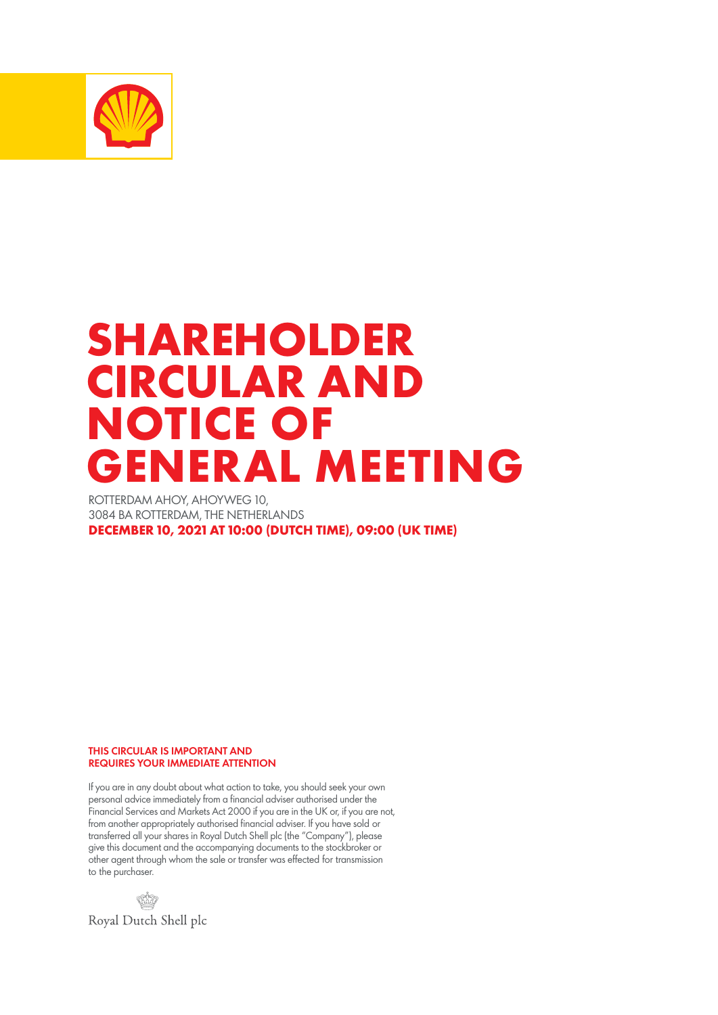

# **SHAREHOLDER CIRCULAR AND NOTICE OF GENERAL MEETING**

ROTTERDAM AHOY, AHOYWEG 10, 3084 BA ROTTERDAM, THE NETHERLANDS **DECEMBER 10, 2021 AT 10:00 (DUTCH TIME), 09:00 (UK TIME)**

THIS CIRCULAR IS IMPORTANT AND REQUIRES YOUR IMMEDIATE ATTENTION

If you are in any doubt about what action to take, you should seek your own personal advice immediately from a financial adviser authorised under the Financial Services and Markets Act 2000 if you are in the UK or, if you are not, from another appropriately authorised financial adviser. If you have sold or transferred all your shares in Royal Dutch Shell plc (the "Company"), please give this document and the accompanying documents to the stockbroker or other agent through whom the sale or transfer was effected for transmission to the purchaser.

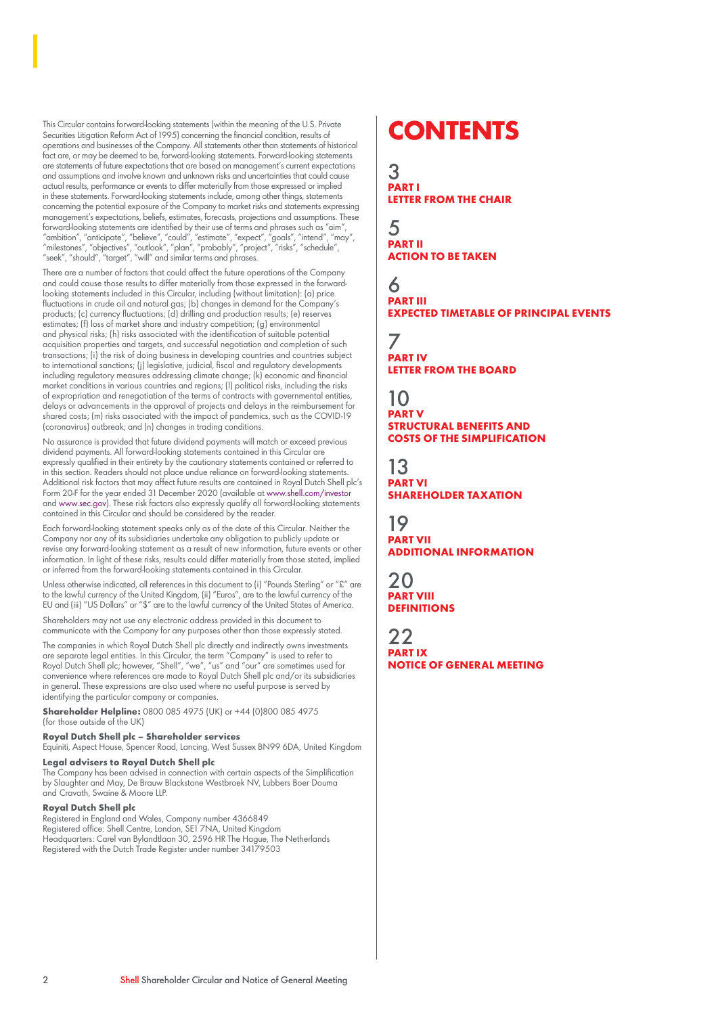This Circular contains forward-looking statements (within the meaning of the U.S. Private Securities Litigation Reform Act of 1995) concerning the financial condition, results of operations and businesses of the Company. All statements other than statements of historical fact are, or may be deemed to be, forward-looking statements. Forward-looking statements are statements of future expectations that are based on management's current expectations and assumptions and involve known and unknown risks and uncertainties that could cause actual results, performance or events to differ materially from those expressed or implied in these statements. Forward-looking statements include, among other things, statements concerning the potential exposure of the Company to market risks and statements expressing management's expectations, beliefs, estimates, forecasts, projections and assumptions. These management's expectations, beliefs, estimates, forecasts, projections and assumptions. These forward-looking statements are identified by their use of terms and phrases such as "aim", "ambition", "anticipate", "believe", "could", "estimate", "expect", "goals", "intend", "may", "milestones", "objectives", "outlook", "plan", "probably", "project", "risks", "schedule", "seek", "should", "target", "will" and similar terms and phrases.

There are a number of factors that could affect the future operations of the Company and could cause those results to differ materially from those expressed in the forwardlooking statements included in this Circular, including (without limitation): (a) price fluctuations in crude oil and natural gas; (b) changes in demand for the Company's products; (c) currency fluctuations; (d) drilling and production results; (e) reserves estimates; (f) loss of market share and industry competition; (g) environmental and physical risks; (h) risks associated with the identification of suitable potential acquisition properties and targets, and successful negotiation and completion of such transactions; (i) the risk of doing business in developing countries and countries subject to international sanctions; (j) legislative, judicial, fiscal and regulatory developments including regulatory measures addressing climate change; (k) economic and financial market conditions in various countries and regions; (l) political risks, including the risks of expropriation and renegotiation of the terms of contracts with governmental entities, delays or advancements in the approval of projects and delays in the reimbursement for shared costs; (m) risks associated with the impact of pandemics, such as the COVID-19 (coronavirus) outbreak; and (n) changes in trading conditions.

No assurance is provided that future dividend payments will match or exceed previous dividend payments. All forward-looking statements contained in this Circular are expressly qualified in their entirety by the cautionary statements contained or referred to in this section. Readers should not place undue reliance on forward-looking statements. Additional risk factors that may affect future results are contained in Royal Dutch Shell plc's Form 20-F for the year ended 31 December 2020 (available at www.shell.com/investor and www.sec.gov). These risk factors also expressly qualify all forward-looking statements contained in this Circular and should be considered by the reader.

Each forward-looking statement speaks only as of the date of this Circular. Neither the Company nor any of its subsidiaries undertake any obligation to publicly update or revise any forward-looking statement as a result of new information, future events or other information. In light of these risks, results could differ materially from those stated, implied or inferred from the forward-looking statements contained in this Circular.

Unless otherwise indicated, all references in this document to (i) "Pounds Sterling" or "£" are to the lawful currency of the United Kingdom, (ii) "Euros", are to the lawful currency of the EU and (iii) "US Dollars" or "\$" are to the lawful currency of the United States of America.

Shareholders may not use any electronic address provided in this document to communicate with the Company for any purposes other than those expressly stated.

The companies in which Royal Dutch Shell plc directly and indirectly owns investments are separate legal entities. In this Circular, the term "Company" is used to refer to Royal Dutch Shell plc; however, "Shell", "we", "us" and "our" are sometimes used for convenience where references are made to Royal Dutch Shell plc and/or its subsidiaries in general. These expressions are also used where no useful purpose is served by identifying the particular company or companies.

**Shareholder Helpline:** 0800 085 4975 (UK) or +44 (0)800 085 4975 (for those outside of the UK)

#### **Royal Dutch Shell plc – Shareholder services**

Equiniti, Aspect House, Spencer Road, Lancing, West Sussex BN99 6DA, United Kingdom

#### **Legal advisers to Royal Dutch Shell plc**

The Company has been advised in connection with certain aspects of the Simplification by Slaughter and May, De Brauw Blackstone Westbroek NV, Lubbers Boer Douma and Cravath, Swaine & Moore LLP.

#### **Royal Dutch Shell plc**

Registered in England and Wales, Company number 4366849 Registered office: Shell Centre, London, SE1 7NA, United Kingdom Headquarters: Carel van Bylandtlaan 30, 2596 HR The Hague, The Netherlands Registered with the Dutch Trade Register under number 34179503

## **CONTENTS**

3 **PART I LETTER FROM THE CHAIR**

5 **PART II ACTION TO BE TAKEN**

6 **PART III EXPECTED TIMETABLE OF PRINCIPAL EVENTS**

7 **PART IV LETTER FROM THE BOARD**

### 10

**PART V STRUCTURAL BENEFITS AND COSTS OF THE SIMPLIFICATION**

13 **PART VI SHAREHOLDER TAXATION**

19 **PART VII ADDITIONAL INFORMATION**

20 **PART VIII DEFINITIONS** 

22 **PART IX NOTICE OF GENERAL MEETING**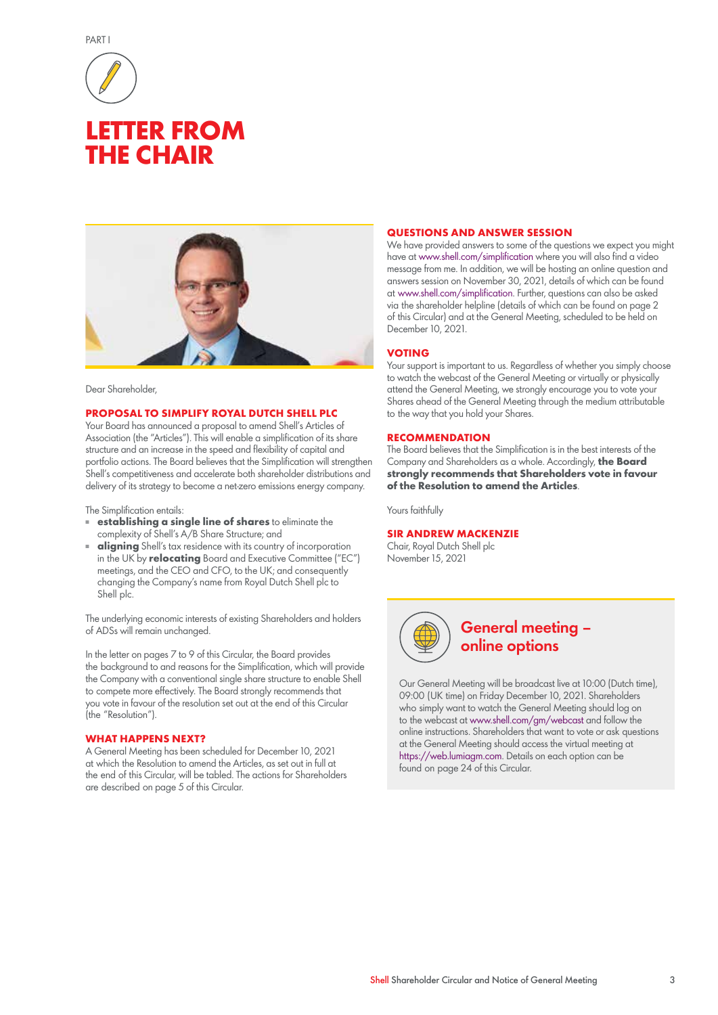

## **LETTER FROM THE CHAIR**



#### Dear Shareholder,

#### **PROPOSAL TO SIMPLIFY ROYAL DUTCH SHELL PLC**

Your Board has announced a proposal to amend Shell's Articles of Association (the "Articles"). This will enable a simplification of its share structure and an increase in the speed and flexibility of capital and portfolio actions. The Board believes that the Simplification will strengthen Shell's competitiveness and accelerate both shareholder distributions and delivery of its strategy to become a net-zero emissions energy company.

#### The Simplification entails:

- **establishing a single line of shares** to eliminate the complexity of Shell's A/B Share Structure; and
- **aligning** Shell's tax residence with its country of incorporation in the UK by **relocating** Board and Executive Committee ("EC") meetings, and the CEO and CFO, to the UK; and consequently changing the Company's name from Royal Dutch Shell plc to Shell plc.

The underlying economic interests of existing Shareholders and holders of ADSs will remain unchanged.

In the letter on pages 7 to 9 of this Circular, the Board provides the background to and reasons for the Simplification, which will provide the Company with a conventional single share structure to enable Shell to compete more effectively. The Board strongly recommends that you vote in favour of the resolution set out at the end of this Circular (the "Resolution").

#### **WHAT HAPPENS NEXT?**

A General Meeting has been scheduled for December 10, 2021 at which the Resolution to amend the Articles, as set out in full at the end of this Circular, will be tabled. The actions for Shareholders are described on page 5 of this Circular.

#### **QUESTIONS AND ANSWER SESSION**

We have provided answers to some of the questions we expect you might have at www.shell.com/simplification where you will also find a video message from me. In addition, we will be hosting an online question and answers session on November 30, 2021, details of which can be found at www.shell.com/simplification. Further, questions can also be asked via the shareholder helpline (details of which can be found on page 2 of this Circular) and at the General Meeting, scheduled to be held on December 10, 2021.

#### **VOTING**

Your support is important to us. Regardless of whether you simply choose to watch the webcast of the General Meeting or virtually or physically attend the General Meeting, we strongly encourage you to vote your Shares ahead of the General Meeting through the medium attributable to the way that you hold your Shares.

#### **RECOMMENDATION**

The Board believes that the Simplification is in the best interests of the Company and Shareholders as a whole. Accordingly, **the Board strongly recommends that Shareholders vote in favour of the Resolution to amend the Articles**.

Yours faithfully

#### **SIR ANDREW MACKENZIE**

Chair, Royal Dutch Shell plc November 15, 2021



### General meeting – online options

Our General Meeting will be broadcast live at 10:00 (Dutch time), 09:00 (UK time) on Friday December 10, 2021. Shareholders who simply want to watch the General Meeting should log on to the webcast at www.shell.com/gm/webcast and follow the online instructions. Shareholders that want to vote or ask questions at the General Meeting should access the virtual meeting at https://web.lumiagm.com. Details on each option can be found on page 24 of this Circular.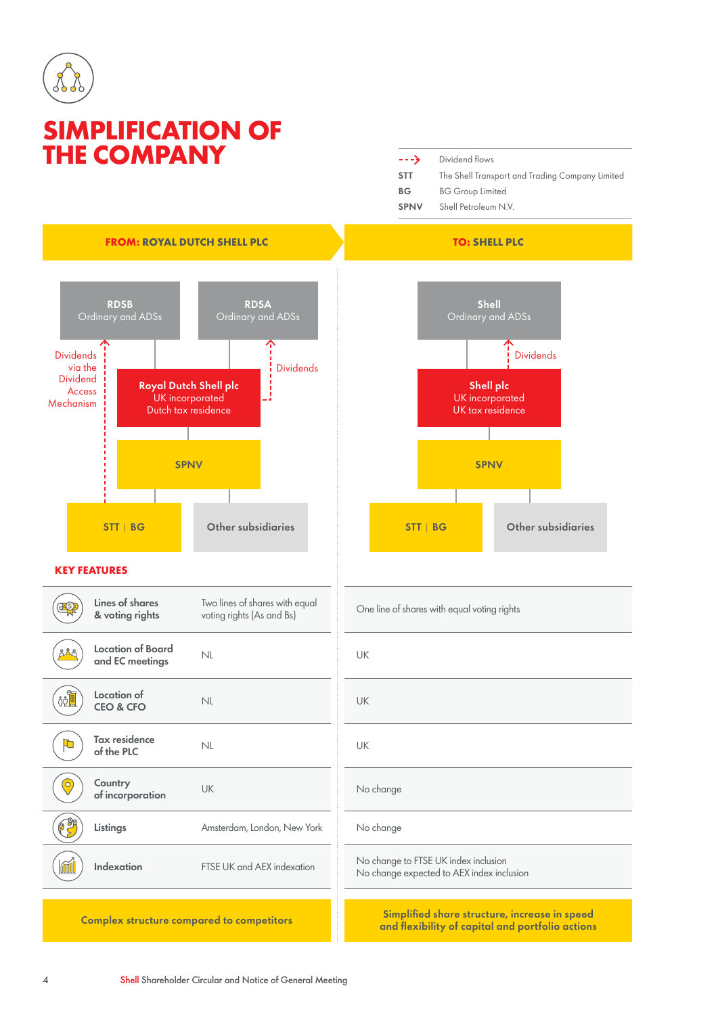

## **SIMPLIFICATION OF THE COMPANY**

| $---$       | Dividend flows                                  |
|-------------|-------------------------------------------------|
| <b>STT</b>  | The Shell Transport and Trading Company Limited |
| ВG          | <b>BG Group Limited</b>                         |
| <b>SPNV</b> | Shell Petroleum N.V.                            |





One line of shares with equal voting rights

No change expected to AEX index inclusion

Complex structure compared to competitors Simplified share structure, increase in speed and flexibility of capital and portfolio actions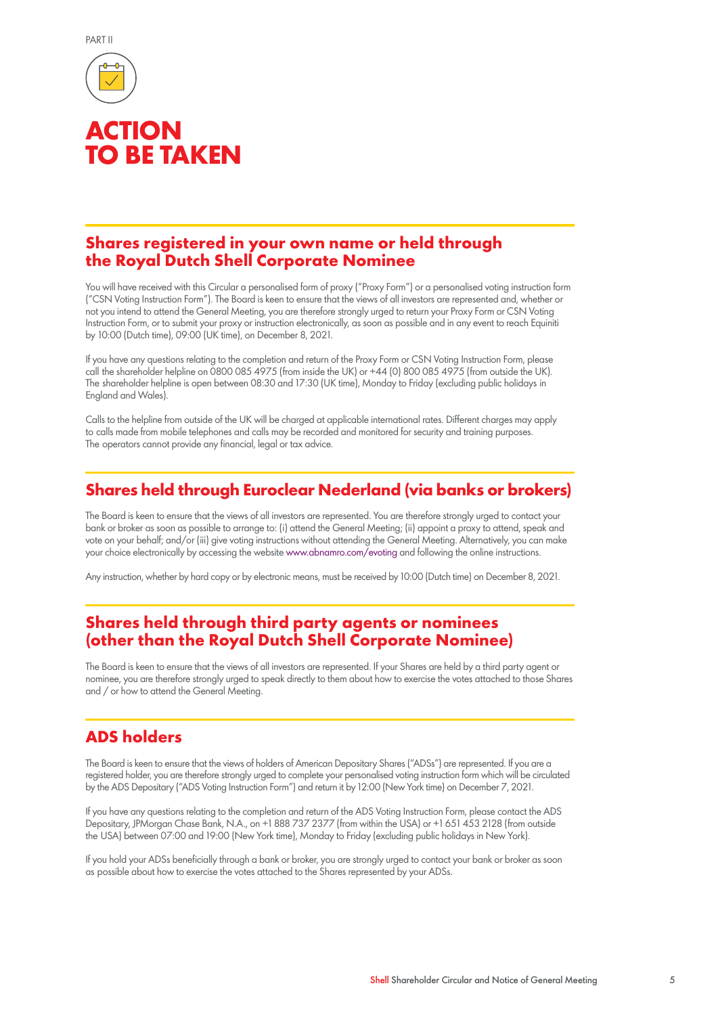



## **ACTION TO BE TAKEN**

### **Shares registered in your own name or held through the Royal Dutch Shell Corporate Nominee**

You will have received with this Circular a personalised form of proxy ("Proxy Form") or a personalised voting instruction form ("CSN Voting Instruction Form"). The Board is keen to ensure that the views of all investors are represented and, whether or not you intend to attend the General Meeting, you are therefore strongly urged to return your Proxy Form or CSN Voting Instruction Form, or to submit your proxy or instruction electronically, as soon as possible and in any event to reach Equiniti by 10:00 (Dutch time), 09:00 (UK time), on December 8, 2021.

If you have any questions relating to the completion and return of the Proxy Form or CSN Voting Instruction Form, please call the shareholder helpline on 0800 085 4975 (from inside the UK) or +44 (0) 800 085 4975 (from outside the UK). The shareholder helpline is open between 08:30 and 17:30 (UK time), Monday to Friday (excluding public holidays in England and Wales).

Calls to the helpline from outside of the UK will be charged at applicable international rates. Different charges may apply to calls made from mobile telephones and calls may be recorded and monitored for security and training purposes. The operators cannot provide any financial, legal or tax advice.

### **Shares held through Euroclear Nederland (via banks or brokers)**

The Board is keen to ensure that the views of all investors are represented. You are therefore strongly urged to contact your bank or broker as soon as possible to arrange to: (i) attend the General Meeting; (ii) appoint a proxy to attend, speak and vote on your behalf; and/or (iii) give voting instructions without attending the General Meeting. Alternatively, you can make your choice electronically by accessing the website www.abnamro.com/evoting and following the online instructions.

Any instruction, whether by hard copy or by electronic means, must be received by 10:00 (Dutch time) on December 8, 2021.

### **Shares held through third party agents or nominees (other than the Royal Dutch Shell Corporate Nominee)**

The Board is keen to ensure that the views of all investors are represented. If your Shares are held by a third party agent or nominee, you are therefore strongly urged to speak directly to them about how to exercise the votes attached to those Shares and / or how to attend the General Meeting.

### **ADS holders**

The Board is keen to ensure that the views of holders of American Depositary Shares ("ADSs") are represented. If you are a registered holder, you are therefore strongly urged to complete your personalised voting instruction form which will be circulated by the ADS Depositary ("ADS Voting Instruction Form") and return it by 12:00 (New York time) on December 7, 2021.

If you have any questions relating to the completion and return of the ADS Voting Instruction Form, please contact the ADS Depositary, JPMorgan Chase Bank, N.A., on +1 888 737 2377 (from within the USA) or +1 651 453 2128 (from outside the USA) between 07:00 and 19:00 (New York time), Monday to Friday (excluding public holidays in New York).

If you hold your ADSs beneficially through a bank or broker, you are strongly urged to contact your bank or broker as soon as possible about how to exercise the votes attached to the Shares represented by your ADSs.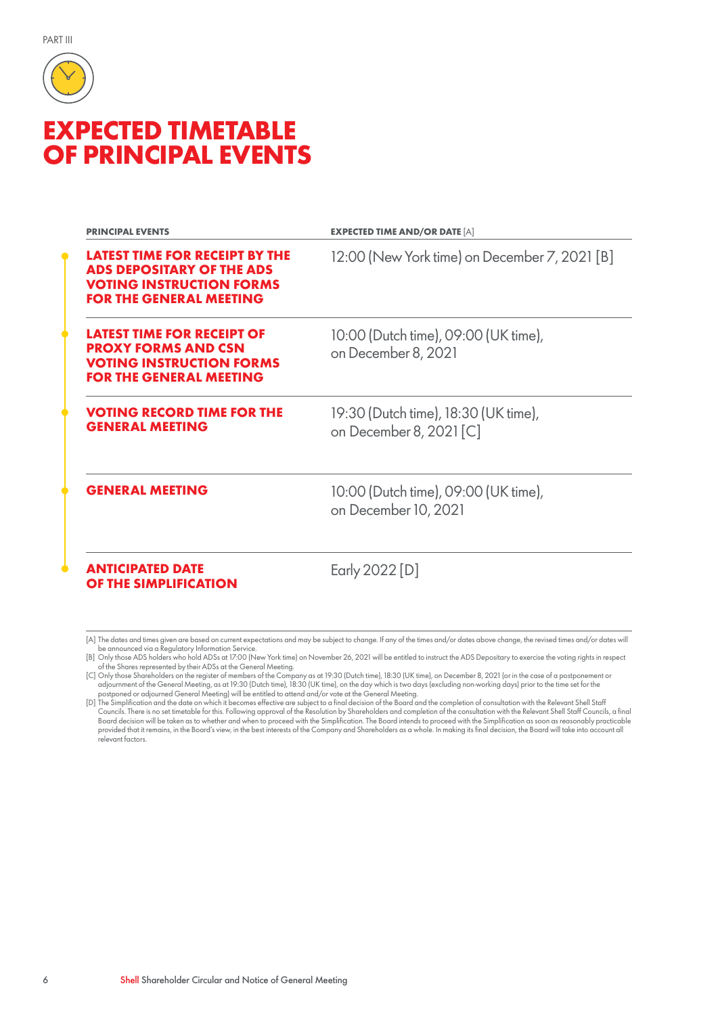

## **EXPECTED TIMETABLE OF PRINCIPAL EVENTS**

| <b>PRINCIPAL EVENTS</b>                                                                                                                        | <b>EXPECTED TIME AND/OR DATE [A]</b>                            |  |
|------------------------------------------------------------------------------------------------------------------------------------------------|-----------------------------------------------------------------|--|
| <b>LATEST TIME FOR RECEIPT BY THE</b><br><b>ADS DEPOSITARY OF THE ADS</b><br><b>VOTING INSTRUCTION FORMS</b><br><b>FOR THE GENERAL MEETING</b> | 12:00 (New York time) on December 7, 2021 [B]                   |  |
| <b>LATEST TIME FOR RECEIPT OF</b><br><b>PROXY FORMS AND CSN</b><br><b>VOTING INSTRUCTION FORMS</b><br><b>FOR THE GENERAL MEETING</b>           | 10:00 (Dutch time), 09:00 (UK time),<br>on December 8, 2021     |  |
| <b>VOTING RECORD TIME FOR THE</b><br><b>GENERAL MEETING</b>                                                                                    | 19:30 (Dutch time), 18:30 (UK time),<br>on December 8, 2021 [C] |  |
| <b>GENERAL MEETING</b>                                                                                                                         | 10:00 (Dutch time), 09:00 (UK time),<br>on December 10, 2021    |  |
| <b>ANTICIPATED DATE</b><br>OF THE SIMPLIFICATION                                                                                               | Early 2022 [D]                                                  |  |

[A] The dates and times given are based on current expectations and may be subject to change. If any of the times and/or dates above change, the revised times and/or dates will

be announced via a Regulatory Information Service.<br>[B] Only those ADS holders who hold ADSs at 17:00 (New York time) on November 26, 2021 will be entitled to instruct the ADS Depositary to exercise the voting rights in res

<sup>[</sup>C] Only those Shareholders on the register of members of the Company as at 19:30 (Dutch time), 18:30 (UK time), on December 8, 2021 (or in the case of a postponement or adjournment of the General Meeting, as at 19:30 (Dutch time), 18:30 (UK time), on the day which is two days (excluding non-working days) prior to the time set for the<br>postponed or adjourned General Meeting) will be entitle

Councils. There is no set timetable for this. Following approval of the Resolution by Shareholders and completion of the consultation with the Relevant Shell Staff Councils, a final<br>Board decision will be taken as to wheth provided that it remains, in the Board's view, in the best interests of the Company and Shareholders as a whole. In making its final decision, the Board will take into account all relevant factors.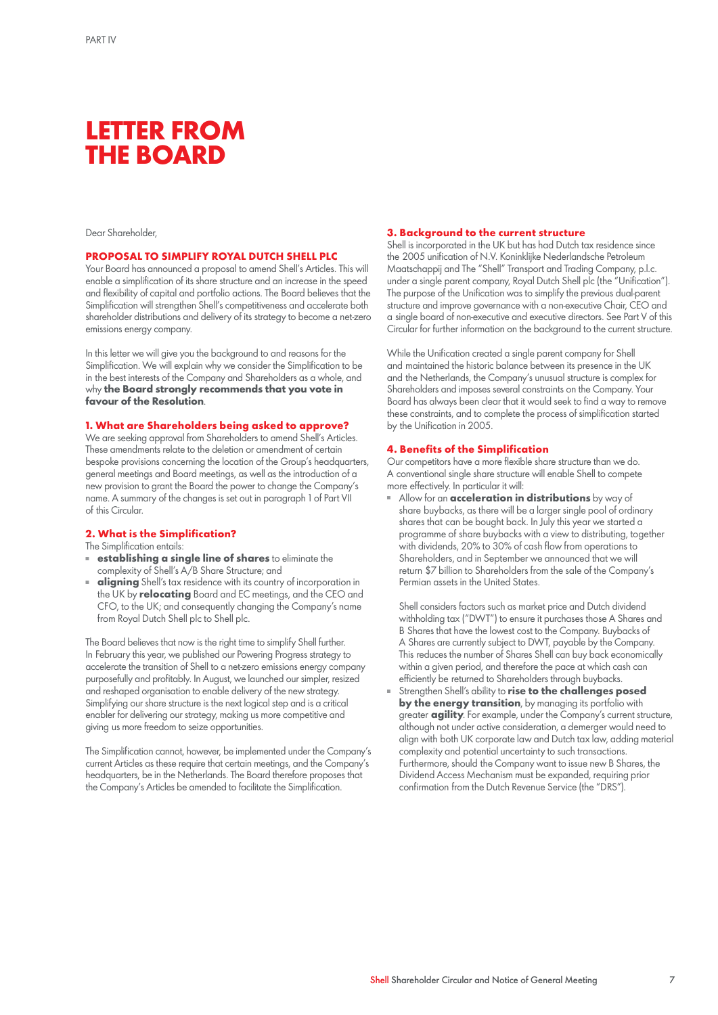## **LETTER FROM THE BOARD**

#### Dear Shareholder,

#### **PROPOSAL TO SIMPLIFY ROYAL DUTCH SHELL PLC**

Your Board has announced a proposal to amend Shell's Articles. This will enable a simplification of its share structure and an increase in the speed and flexibility of capital and portfolio actions. The Board believes that the Simplification will strengthen Shell's competitiveness and accelerate both shareholder distributions and delivery of its strategy to become a net-zero emissions energy company.

In this letter we will give you the background to and reasons for the Simplification. We will explain why we consider the Simplification to be in the best interests of the Company and Shareholders as a whole, and why **the Board strongly recommends that you vote in favour of the Resolution**.

#### **1. What are Shareholders being asked to approve?**

We are seeking approval from Shareholders to amend Shell's Articles. These amendments relate to the deletion or amendment of certain bespoke provisions concerning the location of the Group's headquarters, general meetings and Board meetings, as well as the introduction of a new provision to grant the Board the power to change the Company's name. A summary of the changes is set out in paragraph 1 of Part VII of this Circular.

#### **2. What is the Simplification?**

The Simplification entails:

- **establishing a single line of shares** to eliminate the complexity of Shell's A/B Share Structure; and
- **aligning** Shell's tax residence with its country of incorporation in the UK by **relocating** Board and EC meetings, and the CEO and CFO, to the UK; and consequently changing the Company's name from Royal Dutch Shell plc to Shell plc.

The Board believes that now is the right time to simplify Shell further. In February this year, we published our Powering Progress strategy to accelerate the transition of Shell to a net-zero emissions energy company purposefully and profitably. In August, we launched our simpler, resized and reshaped organisation to enable delivery of the new strategy. Simplifying our share structure is the next logical step and is a critical enabler for delivering our strategy, making us more competitive and giving us more freedom to seize opportunities.

The Simplification cannot, however, be implemented under the Company's current Articles as these require that certain meetings, and the Company's headquarters, be in the Netherlands. The Board therefore proposes that the Company's Articles be amended to facilitate the Simplification.

#### **3. Background to the current structure**

Shell is incorporated in the UK but has had Dutch tax residence since the 2005 unification of N.V. Koninklijke Nederlandsche Petroleum Maatschappij and The "Shell" Transport and Trading Company, p.l.c. under a single parent company, Royal Dutch Shell plc (the "Unification"). The purpose of the Unification was to simplify the previous dual-parent structure and improve governance with a non-executive Chair, CEO and a single board of non-executive and executive directors. See Part V of this Circular for further information on the background to the current structure.

While the Unification created a single parent company for Shell and maintained the historic balance between its presence in the UK and the Netherlands, the Company's unusual structure is complex for Shareholders and imposes several constraints on the Company. Your Board has always been clear that it would seek to find a way to remove these constraints, and to complete the process of simplification started by the Unification in 2005.

#### **4. Benefits of the Simplification**

Our competitors have a more flexible share structure than we do. A conventional single share structure will enable Shell to compete more effectively. In particular it will:

Allow for an **acceleration in distributions** by way of share buybacks, as there will be a larger single pool of ordinary shares that can be bought back. In July this year we started a programme of share buybacks with a view to distributing, together with dividends, 20% to 30% of cash flow from operations to Shareholders, and in September we announced that we will return \$7 billion to Shareholders from the sale of the Company's Permian assets in the United States.

Shell considers factors such as market price and Dutch dividend withholding tax ("DWT") to ensure it purchases those A Shares and B Shares that have the lowest cost to the Company. Buybacks of A Shares are currently subject to DWT, payable by the Company. This reduces the number of Shares Shell can buy back economically within a given period, and therefore the pace at which cash can efficiently be returned to Shareholders through buybacks.

Strengthen Shell's ability to **rise to the challenges posed** by the energy transition, by managing its portfolio with greater **agility**. For example, under the Company's current structure, although not under active consideration, a demerger would need to align with both UK corporate law and Dutch tax law, adding material complexity and potential uncertainty to such transactions. Furthermore, should the Company want to issue new B Shares, the Dividend Access Mechanism must be expanded, requiring prior confirmation from the Dutch Revenue Service (the "DRS").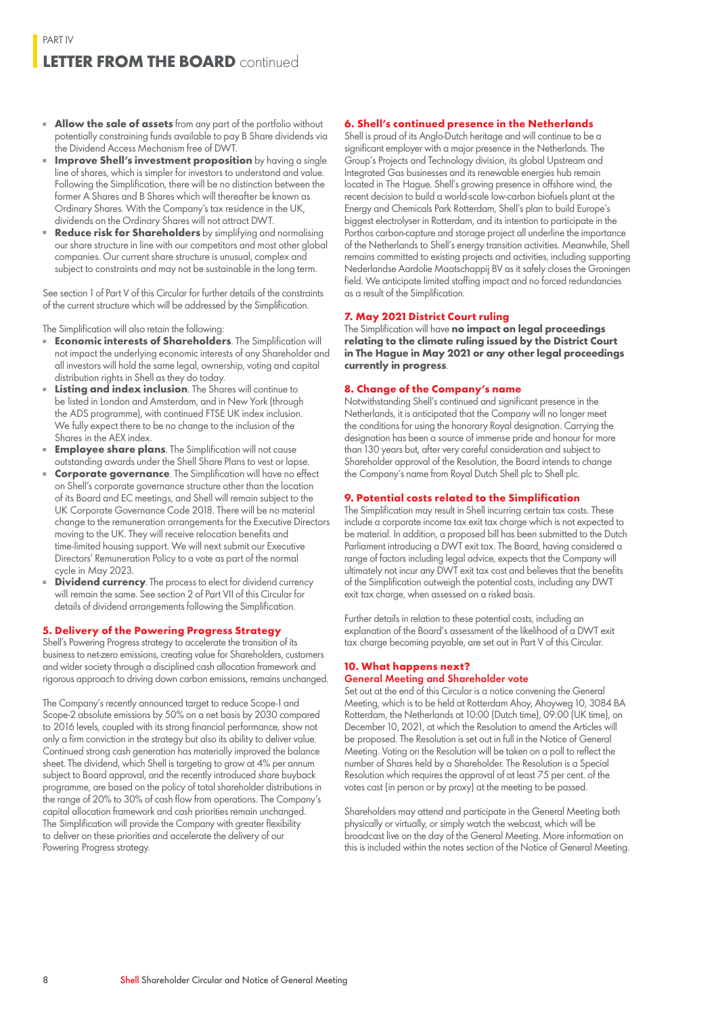- **Allow the sale of assets** from any part of the portfolio without potentially constraining funds available to pay B Share dividends via the Dividend Access Mechanism free of DWT.
- **Improve Shell's investment proposition** by having a single line of shares, which is simpler for investors to understand and value. Following the Simplification, there will be no distinction between the former A Shares and B Shares which will thereafter be known as Ordinary Shares. With the Company's tax residence in the UK, dividends on the Ordinary Shares will not attract DWT.
- **Reduce risk for Shareholders** by simplifying and normalising our share structure in line with our competitors and most other global companies. Our current share structure is unusual, complex and subject to constraints and may not be sustainable in the long term.

See section 1 of Part V of this Circular for further details of the constraints of the current structure which will be addressed by the Simplification.

The Simplification will also retain the following:

- **Economic interests of Shareholders**. The Simplification will not impact the underlying economic interests of any Shareholder and all investors will hold the same legal, ownership, voting and capital distribution rights in Shell as they do today.
- **Listing and index inclusion**. The Shares will continue to be listed in London and Amsterdam, and in New York (through the ADS programme), with continued FTSE UK index inclusion. We fully expect there to be no change to the inclusion of the Shares in the AEX index.
- **Employee share plans**. The Simplification will not cause outstanding awards under the Shell Share Plans to vest or lapse.
- **Corporate governance**. The Simplification will have no effect on Shell's corporate governance structure other than the location of its Board and EC meetings, and Shell will remain subject to the UK Corporate Governance Code 2018. There will be no material change to the remuneration arrangements for the Executive Directors moving to the UK. They will receive relocation benefits and time-limited housing support. We will next submit our Executive Directors' Remuneration Policy to a vote as part of the normal cycle in May 2023.
- **Dividend currency**. The process to elect for dividend currency will remain the same. See section 2 of Part VII of this Circular for details of dividend arrangements following the Simplification.

#### **5. Delivery of the Powering Progress Strategy**

Shell's Powering Progress strategy to accelerate the transition of its business to net-zero emissions, creating value for Shareholders, customers and wider society through a disciplined cash allocation framework and rigorous approach to driving down carbon emissions, remains unchanged.

The Company's recently announced target to reduce Scope-1 and Scope-2 absolute emissions by 50% on a net basis by 2030 compared to 2016 levels, coupled with its strong financial performance, show not only a firm conviction in the strategy but also its ability to deliver value. Continued strong cash generation has materially improved the balance sheet. The dividend, which Shell is targeting to grow at 4% per annum subject to Board approval, and the recently introduced share buyback programme, are based on the policy of total shareholder distributions in the range of 20% to 30% of cash flow from operations. The Company's capital allocation framework and cash priorities remain unchanged. The Simplification will provide the Company with greater flexibility to deliver on these priorities and accelerate the delivery of our Powering Progress strategy.

#### **6. Shell's continued presence in the Netherlands**

Shell is proud of its Anglo-Dutch heritage and will continue to be a significant employer with a major presence in the Netherlands. The Group's Projects and Technology division, its global Upstream and Integrated Gas businesses and its renewable energies hub remain located in The Hague. Shell's growing presence in offshore wind, the recent decision to build a world-scale low-carbon biofuels plant at the Energy and Chemicals Park Rotterdam, Shell's plan to build Europe's biggest electrolyser in Rotterdam, and its intention to participate in the Porthos carbon-capture and storage project all underline the importance of the Netherlands to Shell's energy transition activities. Meanwhile, Shell remains committed to existing projects and activities, including supporting Nederlandse Aardolie Maatschappij BV as it safely closes the Groningen field. We anticipate limited staffing impact and no forced redundancies as a result of the Simplification.

#### **7. May 2021 District Court ruling**

The Simplification will have **no impact on legal proceedings relating to the climate ruling issued by the District Court in The Hague in May 2021 or any other legal proceedings currently in progress**.

#### **8. Change of the Company's name**

Notwithstanding Shell's continued and significant presence in the Netherlands, it is anticipated that the Company will no longer meet the conditions for using the honorary Royal designation. Carrying the designation has been a source of immense pride and honour for more than 130 years but, after very careful consideration and subject to Shareholder approval of the Resolution, the Board intends to change the Company's name from Royal Dutch Shell plc to Shell plc.

#### **9. Potential costs related to the Simplification**

The Simplification may result in Shell incurring certain tax costs. These include a corporate income tax exit tax charge which is not expected to be material. In addition, a proposed bill has been submitted to the Dutch Parliament introducing a DWT exit tax. The Board, having considered a range of factors including legal advice, expects that the Company will ultimately not incur any DWT exit tax cost and believes that the benefits of the Simplification outweigh the potential costs, including any DWT exit tax charge, when assessed on a risked basis.

Further details in relation to these potential costs, including an explanation of the Board's assessment of the likelihood of a DWT exit tax charge becoming payable, are set out in Part V of this Circular.

### **10. What happens next?**

### General Meeting and Shareholder vote

Set out at the end of this Circular is a notice convening the General Meeting, which is to be held at Rotterdam Ahoy, Ahoyweg 10, 3084 BA Rotterdam, the Netherlands at 10:00 (Dutch time), 09:00 (UK time), on December 10, 2021, at which the Resolution to amend the Articles will be proposed. The Resolution is set out in full in the Notice of General Meeting. Voting on the Resolution will be taken on a poll to reflect the number of Shares held by a Shareholder. The Resolution is a Special Resolution which requires the approval of at least 75 per cent. of the votes cast (in person or by proxy) at the meeting to be passed.

Shareholders may attend and participate in the General Meeting both physically or virtually, or simply watch the webcast, which will be broadcast live on the day of the General Meeting. More information on this is included within the notes section of the Notice of General Meeting.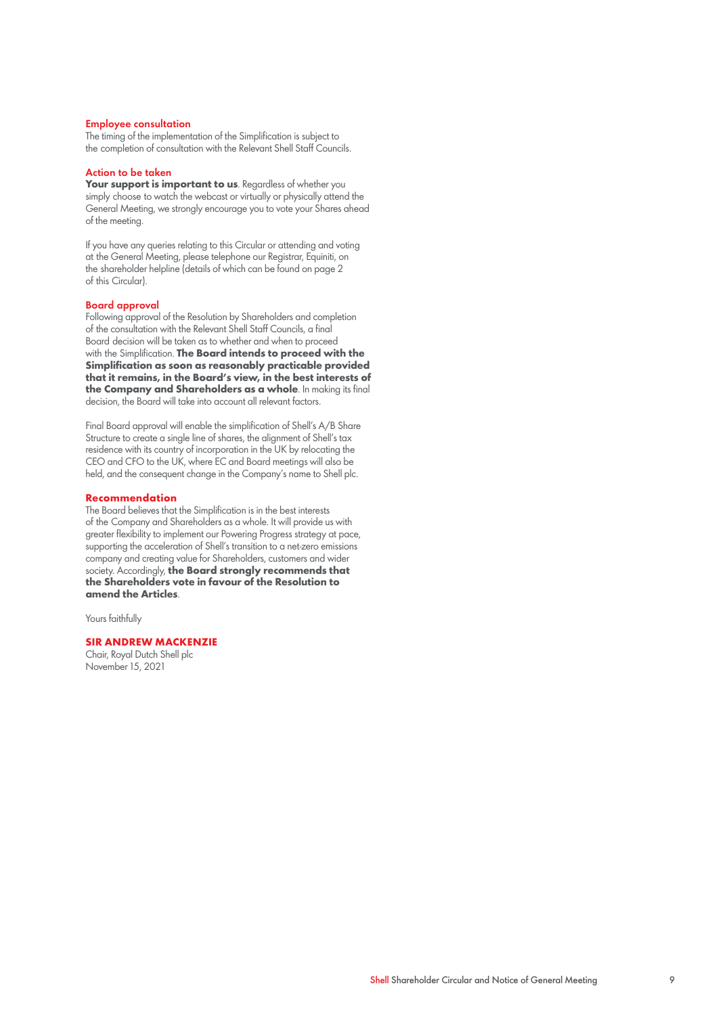#### Employee consultation

The timing of the implementation of the Simplification is subject to the completion of consultation with the Relevant Shell Staff Councils.

#### Action to be taken

Your support is important to us. Regardless of whether you simply choose to watch the webcast or virtually or physically attend the General Meeting, we strongly encourage you to vote your Shares ahead of the meeting.

If you have any queries relating to this Circular or attending and voting at the General Meeting, please telephone our Registrar, Equiniti, on the shareholder helpline (details of which can be found on page 2 of this Circular).

#### Board approval

Following approval of the Resolution by Shareholders and completion of the consultation with the Relevant Shell Staff Councils, a final Board decision will be taken as to whether and when to proceed with the Simplification. **The Board intends to proceed with the Simplification as soon as reasonably practicable provided that it remains, in the Board's view, in the best interests of the Company and Shareholders as a whole**. In making its final decision, the Board will take into account all relevant factors.

Final Board approval will enable the simplification of Shell's A/B Share Structure to create a single line of shares, the alignment of Shell's tax residence with its country of incorporation in the UK by relocating the CEO and CFO to the UK, where EC and Board meetings will also be held, and the consequent change in the Company's name to Shell plc.

#### **Recommendation**

The Board believes that the Simplification is in the best interests of the Company and Shareholders as a whole. It will provide us with greater flexibility to implement our Powering Progress strategy at pace, supporting the acceleration of Shell's transition to a net-zero emissions company and creating value for Shareholders, customers and wider society. Accordingly, **the Board strongly recommends that the Shareholders vote in favour of the Resolution to amend the Articles**.

Yours faithfully

#### **SIR ANDREW MACKENZIE**

Chair, Royal Dutch Shell plc November 15, 2021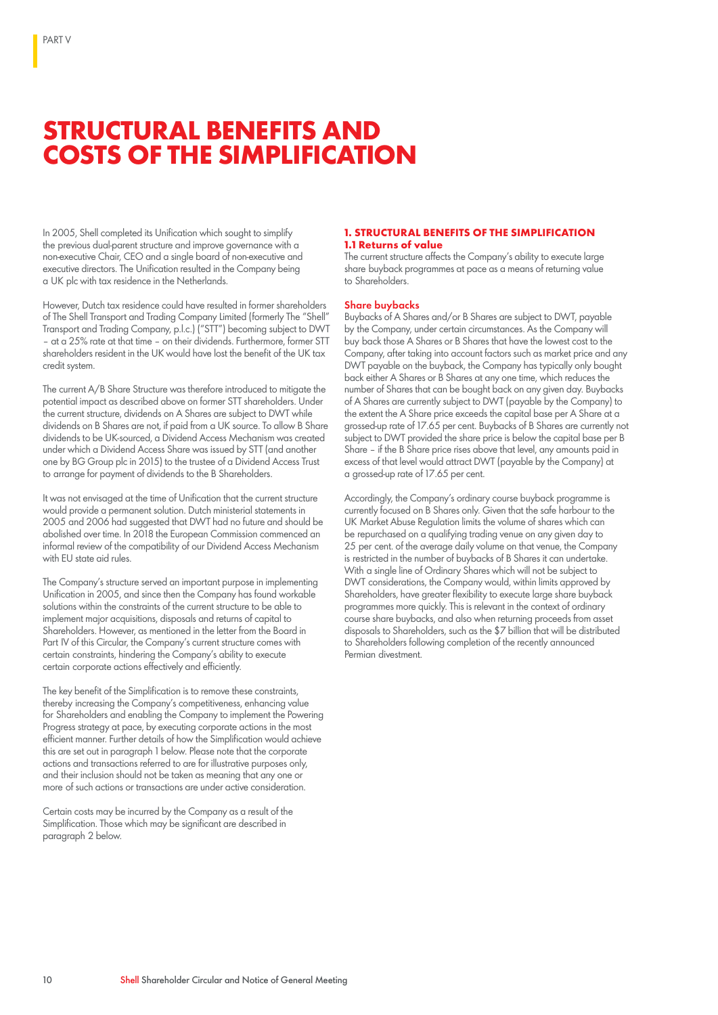## **STRUCTURAL BENEFITS AND COSTS OF THE SIMPLIFICATION**

In 2005, Shell completed its Unification which sought to simplify the previous dual-parent structure and improve governance with a non-executive Chair, CEO and a single board of non-executive and executive directors. The Unification resulted in the Company being a UK plc with tax residence in the Netherlands.

However, Dutch tax residence could have resulted in former shareholders of The Shell Transport and Trading Company Limited (formerly The "Shell" Transport and Trading Company, p.l.c.) ("STT") becoming subject to DWT – at a 25% rate at that time – on their dividends. Furthermore, former STT shareholders resident in the UK would have lost the benefit of the UK tax credit system.

The current A/B Share Structure was therefore introduced to mitigate the potential impact as described above on former STT shareholders. Under the current structure, dividends on A Shares are subject to DWT while dividends on B Shares are not, if paid from a UK source. To allow B Share dividends to be UK-sourced, a Dividend Access Mechanism was created under which a Dividend Access Share was issued by STT (and another one by BG Group plc in 2015) to the trustee of a Dividend Access Trust to arrange for payment of dividends to the B Shareholders.

It was not envisaged at the time of Unification that the current structure would provide a permanent solution. Dutch ministerial statements in 2005 and 2006 had suggested that DWT had no future and should be abolished over time. In 2018 the European Commission commenced an informal review of the compatibility of our Dividend Access Mechanism with EU state aid rules.

The Company's structure served an important purpose in implementing Unification in 2005, and since then the Company has found workable solutions within the constraints of the current structure to be able to implement major acquisitions, disposals and returns of capital to Shareholders. However, as mentioned in the letter from the Board in Part IV of this Circular, the Company's current structure comes with certain constraints, hindering the Company's ability to execute certain corporate actions effectively and efficiently.

The key benefit of the Simplification is to remove these constraints, thereby increasing the Company's competitiveness, enhancing value for Shareholders and enabling the Company to implement the Powering Progress strategy at pace, by executing corporate actions in the most efficient manner. Further details of how the Simplification would achieve this are set out in paragraph 1 below. Please note that the corporate actions and transactions referred to are for illustrative purposes only, and their inclusion should not be taken as meaning that any one or more of such actions or transactions are under active consideration.

Certain costs may be incurred by the Company as a result of the Simplification. Those which may be significant are described in paragraph 2 below.

#### **1. STRUCTURAL BENEFITS OF THE SIMPLIFICATION 1.1 Returns of value**

The current structure affects the Company's ability to execute large share buyback programmes at pace as a means of returning value to Shareholders.

#### Share buybacks

Buybacks of A Shares and/or B Shares are subject to DWT, payable by the Company, under certain circumstances. As the Company will buy back those A Shares or B Shares that have the lowest cost to the Company, after taking into account factors such as market price and any DWT payable on the buyback, the Company has typically only bought back either A Shares or B Shares at any one time, which reduces the number of Shares that can be bought back on any given day. Buybacks of A Shares are currently subject to DWT (payable by the Company) to the extent the A Share price exceeds the capital base per A Share at a grossed-up rate of 17.65 per cent. Buybacks of B Shares are currently not subject to DWT provided the share price is below the capital base per B Share – if the B Share price rises above that level, any amounts paid in excess of that level would attract DWT (payable by the Company) at a grossed-up rate of 17.65 per cent.

Accordingly, the Company's ordinary course buyback programme is currently focused on B Shares only. Given that the safe harbour to the UK Market Abuse Regulation limits the volume of shares which can be repurchased on a qualifying trading venue on any given day to 25 per cent. of the average daily volume on that venue, the Company is restricted in the number of buybacks of B Shares it can undertake. With a single line of Ordinary Shares which will not be subject to DWT considerations, the Company would, within limits approved by Shareholders, have greater flexibility to execute large share buyback programmes more quickly. This is relevant in the context of ordinary course share buybacks, and also when returning proceeds from asset disposals to Shareholders, such as the \$7 billion that will be distributed to Shareholders following completion of the recently announced Permian divestment.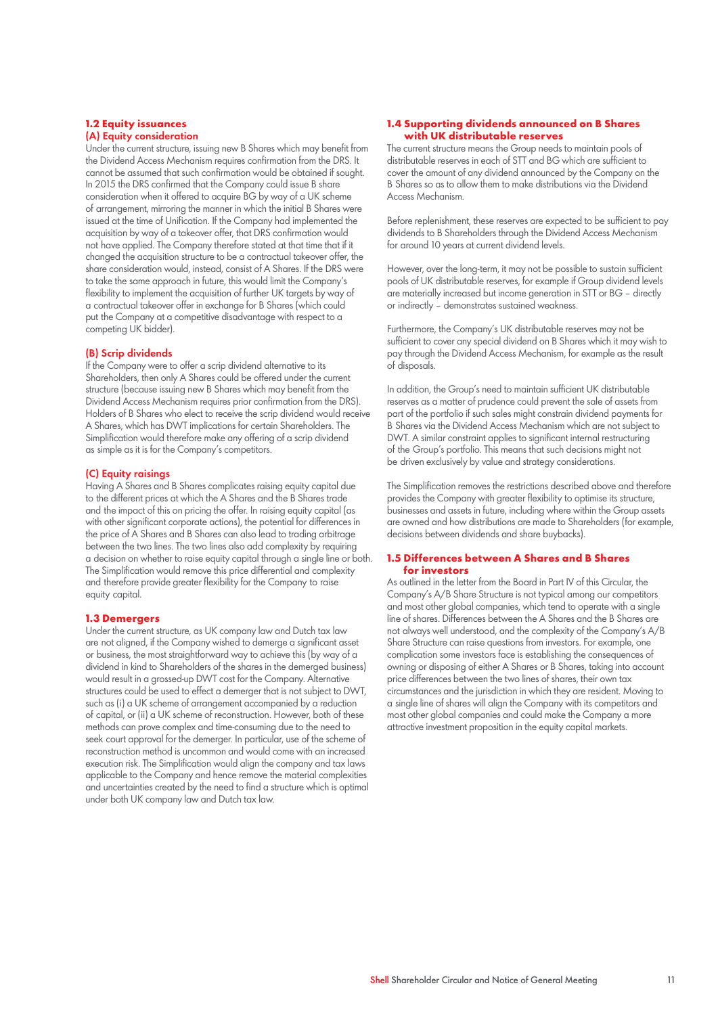#### **1.2 Equity issuances**  (A) Equity consideration

Under the current structure, issuing new B Shares which may benefit from the Dividend Access Mechanism requires confirmation from the DRS. It cannot be assumed that such confirmation would be obtained if sought. In 2015 the DRS confirmed that the Company could issue B share consideration when it offered to acquire BG by way of a UK scheme of arrangement, mirroring the manner in which the initial B Shares were issued at the time of Unification. If the Company had implemented the acquisition by way of a takeover offer, that DRS confirmation would not have applied. The Company therefore stated at that time that if it changed the acquisition structure to be a contractual takeover offer, the share consideration would, instead, consist of A Shares. If the DRS were to take the same approach in future, this would limit the Company's flexibility to implement the acquisition of further UK targets by way of a contractual takeover offer in exchange for B Shares (which could put the Company at a competitive disadvantage with respect to a competing UK bidder).

#### (B) Scrip dividends

If the Company were to offer a scrip dividend alternative to its Shareholders, then only A Shares could be offered under the current structure (because issuing new B Shares which may benefit from the Dividend Access Mechanism requires prior confirmation from the DRS). Holders of B Shares who elect to receive the scrip dividend would receive A Shares, which has DWT implications for certain Shareholders. The Simplification would therefore make any offering of a scrip dividend as simple as it is for the Company's competitors.

#### (C) Equity raisings

Having A Shares and B Shares complicates raising equity capital due to the different prices at which the A Shares and the B Shares trade and the impact of this on pricing the offer. In raising equity capital (as with other significant corporate actions), the potential for differences in the price of A Shares and B Shares can also lead to trading arbitrage between the two lines. The two lines also add complexity by requiring a decision on whether to raise equity capital through a single line or both. The Simplification would remove this price differential and complexity and therefore provide greater flexibility for the Company to raise equity capital.

#### **1.3 Demergers**

Under the current structure, as UK company law and Dutch tax law are not aligned, if the Company wished to demerge a significant asset or business, the most straightforward way to achieve this (by way of a dividend in kind to Shareholders of the shares in the demerged business) would result in a grossed-up DWT cost for the Company. Alternative structures could be used to effect a demerger that is not subject to DWT, such as (i) a UK scheme of arrangement accompanied by a reduction of capital, or (ii) a UK scheme of reconstruction. However, both of these methods can prove complex and time-consuming due to the need to seek court approval for the demerger. In particular, use of the scheme of reconstruction method is uncommon and would come with an increased execution risk. The Simplification would align the company and tax laws applicable to the Company and hence remove the material complexities and uncertainties created by the need to find a structure which is optimal under both UK company law and Dutch tax law.

#### **1.4 Supporting dividends announced on B Shares with UK distributable reserves**

The current structure means the Group needs to maintain pools of distributable reserves in each of STT and BG which are sufficient to cover the amount of any dividend announced by the Company on the B Shares so as to allow them to make distributions via the Dividend Access Mechanism.

Before replenishment, these reserves are expected to be sufficient to pay dividends to B Shareholders through the Dividend Access Mechanism for around 10 years at current dividend levels.

However, over the long-term, it may not be possible to sustain sufficient pools of UK distributable reserves, for example if Group dividend levels are materially increased but income generation in STT or BG – directly or indirectly – demonstrates sustained weakness.

Furthermore, the Company's UK distributable reserves may not be sufficient to cover any special dividend on B Shares which it may wish to pay through the Dividend Access Mechanism, for example as the result of disposals.

In addition, the Group's need to maintain sufficient UK distributable reserves as a matter of prudence could prevent the sale of assets from part of the portfolio if such sales might constrain dividend payments for B Shares via the Dividend Access Mechanism which are not subject to DWT. A similar constraint applies to significant internal restructuring of the Group's portfolio. This means that such decisions might not be driven exclusively by value and strategy considerations.

The Simplification removes the restrictions described above and therefore provides the Company with greater flexibility to optimise its structure, businesses and assets in future, including where within the Group assets are owned and how distributions are made to Shareholders (for example, decisions between dividends and share buybacks).

#### **1.5 Differences between A Shares and B Shares for investors**

As outlined in the letter from the Board in Part IV of this Circular, the Company's A/B Share Structure is not typical among our competitors and most other global companies, which tend to operate with a single line of shares. Differences between the A Shares and the B Shares are not always well understood, and the complexity of the Company's A/B Share Structure can raise questions from investors. For example, one complication some investors face is establishing the consequences of owning or disposing of either A Shares or B Shares, taking into account price differences between the two lines of shares, their own tax circumstances and the jurisdiction in which they are resident. Moving to a single line of shares will align the Company with its competitors and most other global companies and could make the Company a more attractive investment proposition in the equity capital markets.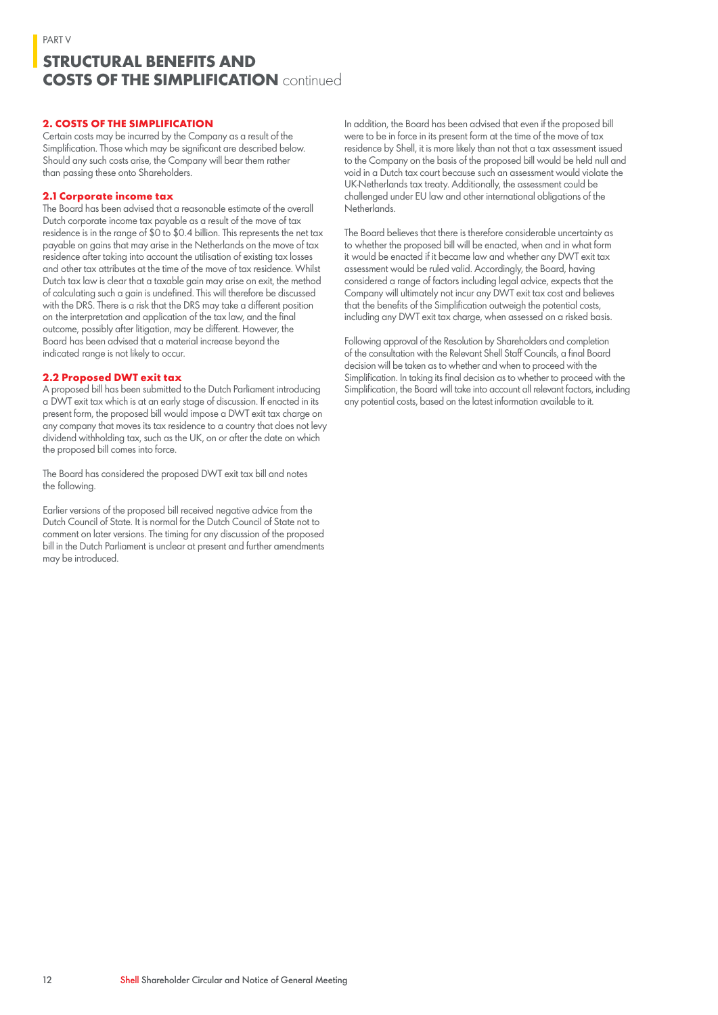### **STRUCTURAL BENEFITS AND COSTS OF THE SIMPLIFICATION** continued

#### **2. COSTS OF THE SIMPLIFICATION**

Certain costs may be incurred by the Company as a result of the Simplification. Those which may be significant are described below. Should any such costs arise, the Company will bear them rather than passing these onto Shareholders.

#### **2.1 Corporate income tax**

The Board has been advised that a reasonable estimate of the overall Dutch corporate income tax payable as a result of the move of tax residence is in the range of \$0 to \$0.4 billion. This represents the net tax payable on gains that may arise in the Netherlands on the move of tax residence after taking into account the utilisation of existing tax losses and other tax attributes at the time of the move of tax residence. Whilst Dutch tax law is clear that a taxable gain may arise on exit, the method of calculating such a gain is undefined. This will therefore be discussed with the DRS. There is a risk that the DRS may take a different position on the interpretation and application of the tax law, and the final outcome, possibly after litigation, may be different. However, the Board has been advised that a material increase beyond the indicated range is not likely to occur.

#### **2.2 Proposed DWT exit tax**

A proposed bill has been submitted to the Dutch Parliament introducing a DWT exit tax which is at an early stage of discussion. If enacted in its present form, the proposed bill would impose a DWT exit tax charge on any company that moves its tax residence to a country that does not levy dividend withholding tax, such as the UK, on or after the date on which the proposed bill comes into force.

The Board has considered the proposed DWT exit tax bill and notes the following.

Earlier versions of the proposed bill received negative advice from the Dutch Council of State. It is normal for the Dutch Council of State not to comment on later versions. The timing for any discussion of the proposed bill in the Dutch Parliament is unclear at present and further amendments may be introduced.

In addition, the Board has been advised that even if the proposed bill were to be in force in its present form at the time of the move of tax residence by Shell, it is more likely than not that a tax assessment issued to the Company on the basis of the proposed bill would be held null and void in a Dutch tax court because such an assessment would violate the UK-Netherlands tax treaty. Additionally, the assessment could be challenged under EU law and other international obligations of the Netherlands.

The Board believes that there is therefore considerable uncertainty as to whether the proposed bill will be enacted, when and in what form it would be enacted if it became law and whether any DWT exit tax assessment would be ruled valid. Accordingly, the Board, having considered a range of factors including legal advice, expects that the Company will ultimately not incur any DWT exit tax cost and believes that the benefits of the Simplification outweigh the potential costs, including any DWT exit tax charge, when assessed on a risked basis.

Following approval of the Resolution by Shareholders and completion of the consultation with the Relevant Shell Staff Councils, a final Board decision will be taken as to whether and when to proceed with the Simplification. In taking its final decision as to whether to proceed with the Simplification, the Board will take into account all relevant factors, including any potential costs, based on the latest information available to it.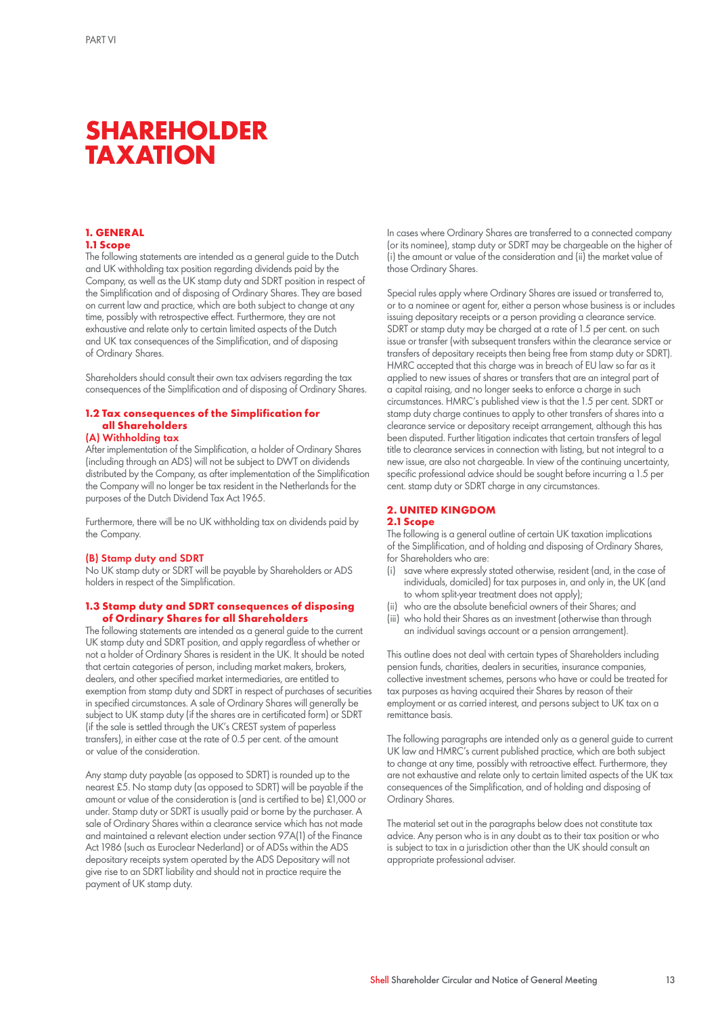## **SHAREHOLDER TAXATION**

#### **1. GENERAL 1.1 Scope**

The following statements are intended as a general guide to the Dutch and UK withholding tax position regarding dividends paid by the Company, as well as the UK stamp duty and SDRT position in respect of

the Simplification and of disposing of Ordinary Shares. They are based on current law and practice, which are both subject to change at any time, possibly with retrospective effect. Furthermore, they are not exhaustive and relate only to certain limited aspects of the Dutch and UK tax consequences of the Simplification, and of disposing of Ordinary Shares.

Shareholders should consult their own tax advisers regarding the tax consequences of the Simplification and of disposing of Ordinary Shares.

#### **1.2 Tax consequences of the Simplification for all Shareholders** (A) Withholding tax

After implementation of the Simplification, a holder of Ordinary Shares (including through an ADS) will not be subject to DWT on dividends distributed by the Company, as after implementation of the Simplification the Company will no longer be tax resident in the Netherlands for the purposes of the Dutch Dividend Tax Act 1965.

Furthermore, there will be no UK withholding tax on dividends paid by the Company.

#### (B) Stamp duty and SDRT

No UK stamp duty or SDRT will be payable by Shareholders or ADS holders in respect of the Simplification.

#### **1.3 Stamp duty and SDRT consequences of disposing of Ordinary Shares for all Shareholders**

The following statements are intended as a general guide to the current UK stamp duty and SDRT position, and apply regardless of whether or not a holder of Ordinary Shares is resident in the UK. It should be noted that certain categories of person, including market makers, brokers, dealers, and other specified market intermediaries, are entitled to exemption from stamp duty and SDRT in respect of purchases of securities in specified circumstances. A sale of Ordinary Shares will generally be subject to UK stamp duty (if the shares are in certificated form) or SDRT (if the sale is settled through the UK's CREST system of paperless transfers), in either case at the rate of 0.5 per cent. of the amount or value of the consideration.

Any stamp duty payable (as opposed to SDRT) is rounded up to the nearest £5. No stamp duty (as opposed to SDRT) will be payable if the amount or value of the consideration is (and is certified to be) £1,000 or under. Stamp duty or SDRT is usually paid or borne by the purchaser. A sale of Ordinary Shares within a clearance service which has not made and maintained a relevant election under section 97A(1) of the Finance Act 1986 (such as Euroclear Nederland) or of ADSs within the ADS depositary receipts system operated by the ADS Depositary will not give rise to an SDRT liability and should not in practice require the payment of UK stamp duty.

In cases where Ordinary Shares are transferred to a connected company (or its nominee), stamp duty or SDRT may be chargeable on the higher of (i) the amount or value of the consideration and (ii) the market value of those Ordinary Shares.

Special rules apply where Ordinary Shares are issued or transferred to, or to a nominee or agent for, either a person whose business is or includes issuing depositary receipts or a person providing a clearance service. SDRT or stamp duty may be charged at a rate of 1.5 per cent. on such issue or transfer (with subsequent transfers within the clearance service or transfers of depositary receipts then being free from stamp duty or SDRT). HMRC accepted that this charge was in breach of EU law so far as it applied to new issues of shares or transfers that are an integral part of a capital raising, and no longer seeks to enforce a charge in such circumstances. HMRC's published view is that the 1.5 per cent. SDRT or stamp duty charge continues to apply to other transfers of shares into a clearance service or depositary receipt arrangement, although this has been disputed. Further litigation indicates that certain transfers of legal title to clearance services in connection with listing, but not integral to a new issue, are also not chargeable. In view of the continuing uncertainty, specific professional advice should be sought before incurring a 1.5 per cent. stamp duty or SDRT charge in any circumstances.

#### **2. UNITED KINGDOM 2.1 Scope**

The following is a general outline of certain UK taxation implications of the Simplification, and of holding and disposing of Ordinary Shares, for Shareholders who are:

- (i) save where expressly stated otherwise, resident (and, in the case of individuals, domiciled) for tax purposes in, and only in, the UK (and to whom split-year treatment does not apply);
- (ii) who are the absolute beneficial owners of their Shares; and
- (iii) who hold their Shares as an investment (otherwise than through an individual savings account or a pension arrangement).

This outline does not deal with certain types of Shareholders including pension funds, charities, dealers in securities, insurance companies, collective investment schemes, persons who have or could be treated for tax purposes as having acquired their Shares by reason of their employment or as carried interest, and persons subject to UK tax on a remittance basis.

The following paragraphs are intended only as a general guide to current UK law and HMRC's current published practice, which are both subject to change at any time, possibly with retroactive effect. Furthermore, they are not exhaustive and relate only to certain limited aspects of the UK tax consequences of the Simplification, and of holding and disposing of Ordinary Shares.

The material set out in the paragraphs below does not constitute tax advice. Any person who is in any doubt as to their tax position or who is subject to tax in a jurisdiction other than the UK should consult an appropriate professional adviser.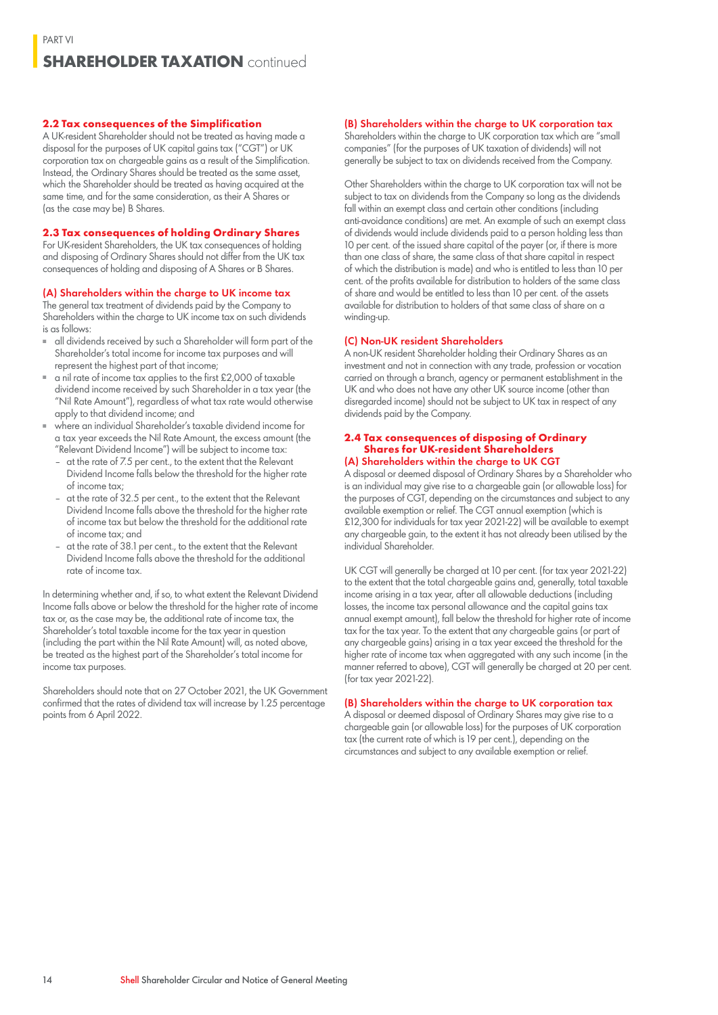### **SHAREHOLDER TAXATION** continued

#### **2.2 Tax consequences of the Simplification**

A UK-resident Shareholder should not be treated as having made a disposal for the purposes of UK capital gains tax ("CGT") or UK corporation tax on chargeable gains as a result of the Simplification. Instead, the Ordinary Shares should be treated as the same asset, which the Shareholder should be treated as having acquired at the same time, and for the same consideration, as their A Shares or (as the case may be) B Shares.

#### **2.3 Tax consequences of holding Ordinary Shares**

For UK-resident Shareholders, the UK tax consequences of holding and disposing of Ordinary Shares should not differ from the UK tax consequences of holding and disposing of A Shares or B Shares.

#### (A) Shareholders within the charge to UK income tax

The general tax treatment of dividends paid by the Company to Shareholders within the charge to UK income tax on such dividends is as follows:

- all dividends received by such a Shareholder will form part of the Shareholder's total income for income tax purposes and will represent the highest part of that income;
- a nil rate of income tax applies to the first £2,000 of taxable dividend income received by such Shareholder in a tax year (the "Nil Rate Amount"), regardless of what tax rate would otherwise apply to that dividend income; and
- where an individual Shareholder's taxable dividend income for a tax year exceeds the Nil Rate Amount, the excess amount (the "Relevant Dividend Income") will be subject to income tax:
	- at the rate of 7.5 per cent., to the extent that the Relevant Dividend Income falls below the threshold for the higher rate of income tax;
	- at the rate of 32.5 per cent., to the extent that the Relevant Dividend Income falls above the threshold for the higher rate of income tax but below the threshold for the additional rate of income tax; and
	- at the rate of 38.1 per cent., to the extent that the Relevant Dividend Income falls above the threshold for the additional rate of income tax.

In determining whether and, if so, to what extent the Relevant Dividend Income falls above or below the threshold for the higher rate of income tax or, as the case may be, the additional rate of income tax, the Shareholder's total taxable income for the tax year in question (including the part within the Nil Rate Amount) will, as noted above, be treated as the highest part of the Shareholder's total income for income tax purposes.

Shareholders should note that on 27 October 2021, the UK Government confirmed that the rates of dividend tax will increase by 1.25 percentage points from 6 April 2022.

#### (B) Shareholders within the charge to UK corporation tax

Shareholders within the charge to UK corporation tax which are "small companies" (for the purposes of UK taxation of dividends) will not generally be subject to tax on dividends received from the Company.

Other Shareholders within the charge to UK corporation tax will not be subject to tax on dividends from the Company so long as the dividends fall within an exempt class and certain other conditions (including anti-avoidance conditions) are met. An example of such an exempt class of dividends would include dividends paid to a person holding less than 10 per cent. of the issued share capital of the payer (or, if there is more than one class of share, the same class of that share capital in respect of which the distribution is made) and who is entitled to less than 10 per cent. of the profits available for distribution to holders of the same class of share and would be entitled to less than 10 per cent. of the assets available for distribution to holders of that same class of share on a winding-up.

#### (C) Non-UK resident Shareholders

A non-UK resident Shareholder holding their Ordinary Shares as an investment and not in connection with any trade, profession or vocation carried on through a branch, agency or permanent establishment in the UK and who does not have any other UK source income (other than disregarded income) should not be subject to UK tax in respect of any dividends paid by the Company.

#### **2.4 Tax consequences of disposing of Ordinary Shares for UK-resident Shareholders** (A) Shareholders within the charge to UK CGT

A disposal or deemed disposal of Ordinary Shares by a Shareholder who is an individual may give rise to a chargeable gain (or allowable loss) for the purposes of CGT, depending on the circumstances and subject to any available exemption or relief. The CGT annual exemption (which is £12,300 for individuals for tax year 2021-22) will be available to exempt any chargeable gain, to the extent it has not already been utilised by the individual Shareholder.

UK CGT will generally be charged at 10 per cent. (for tax year 2021-22) to the extent that the total chargeable gains and, generally, total taxable income arising in a tax year, after all allowable deductions (including losses, the income tax personal allowance and the capital gains tax annual exempt amount), fall below the threshold for higher rate of income tax for the tax year. To the extent that any chargeable gains (or part of any chargeable gains) arising in a tax year exceed the threshold for the higher rate of income tax when aggregated with any such income (in the manner referred to above), CGT will generally be charged at 20 per cent. (for tax year 2021-22).

#### (B) Shareholders within the charge to UK corporation tax

A disposal or deemed disposal of Ordinary Shares may give rise to a chargeable gain (or allowable loss) for the purposes of UK corporation tax (the current rate of which is 19 per cent.), depending on the circumstances and subject to any available exemption or relief.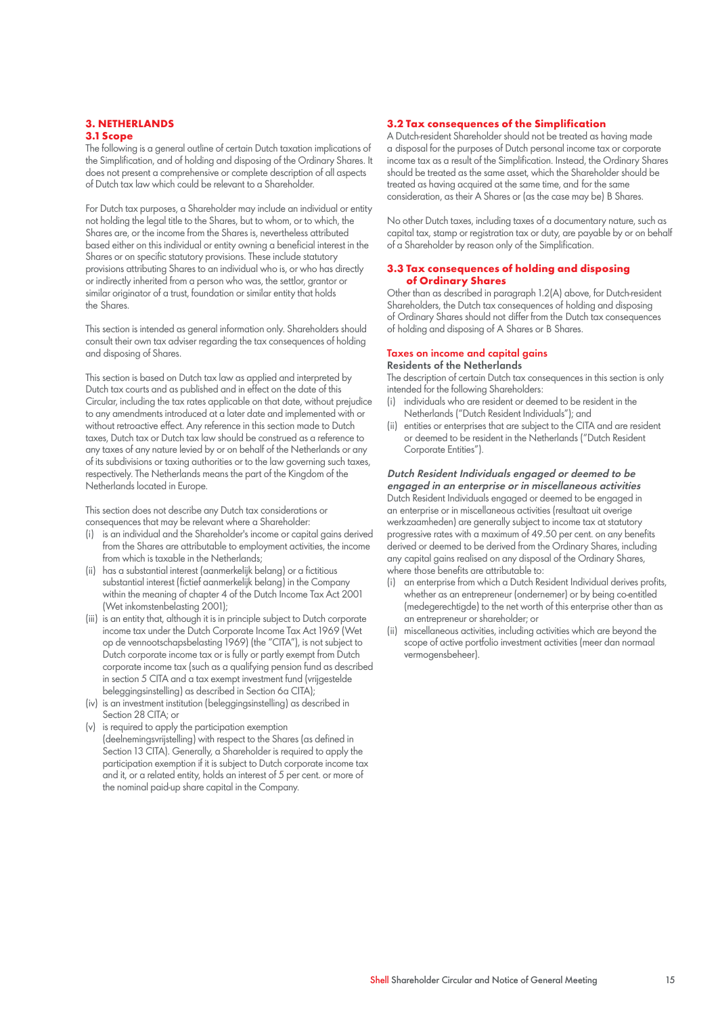#### **3. NETHERLANDS 3.1 Scope**

The following is a general outline of certain Dutch taxation implications of the Simplification, and of holding and disposing of the Ordinary Shares. It does not present a comprehensive or complete description of all aspects of Dutch tax law which could be relevant to a Shareholder.

For Dutch tax purposes, a Shareholder may include an individual or entity not holding the legal title to the Shares, but to whom, or to which, the Shares are, or the income from the Shares is, nevertheless attributed based either on this individual or entity owning a beneficial interest in the Shares or on specific statutory provisions. These include statutory provisions attributing Shares to an individual who is, or who has directly or indirectly inherited from a person who was, the settlor, grantor or similar originator of a trust, foundation or similar entity that holds the Shares.

This section is intended as general information only. Shareholders should consult their own tax adviser regarding the tax consequences of holding and disposing of Shares.

This section is based on Dutch tax law as applied and interpreted by Dutch tax courts and as published and in effect on the date of this Circular, including the tax rates applicable on that date, without prejudice to any amendments introduced at a later date and implemented with or without retroactive effect. Any reference in this section made to Dutch taxes, Dutch tax or Dutch tax law should be construed as a reference to any taxes of any nature levied by or on behalf of the Netherlands or any of its subdivisions or taxing authorities or to the law governing such taxes, respectively. The Netherlands means the part of the Kingdom of the Netherlands located in Europe.

This section does not describe any Dutch tax considerations or consequences that may be relevant where a Shareholder:

- (i) is an individual and the Shareholder's income or capital gains derived from the Shares are attributable to employment activities, the income from which is taxable in the Netherlands;
- (ii) has a substantial interest (aanmerkelijk belang) or a fictitious substantial interest (fictief aanmerkelijk belang) in the Company within the meaning of chapter 4 of the Dutch Income Tax Act 2001 (Wet inkomstenbelasting 2001);
- (iii) is an entity that, although it is in principle subject to Dutch corporate income tax under the Dutch Corporate Income Tax Act 1969 (Wet op de vennootschapsbelasting 1969) (the "CITA"), is not subject to Dutch corporate income tax or is fully or partly exempt from Dutch corporate income tax (such as a qualifying pension fund as described in section 5 CITA and a tax exempt investment fund (vrijgestelde beleggingsinstelling) as described in Section 6a CITA);
- (iv) is an investment institution (beleggingsinstelling) as described in Section 28 CITA; or
- (v) is required to apply the participation exemption (deelnemingsvrijstelling) with respect to the Shares (as defined in Section 13 CITA). Generally, a Shareholder is required to apply the participation exemption if it is subject to Dutch corporate income tax and it, or a related entity, holds an interest of 5 per cent. or more of the nominal paid-up share capital in the Company.

#### **3.2 Tax consequences of the Simplification**

A Dutch-resident Shareholder should not be treated as having made a disposal for the purposes of Dutch personal income tax or corporate income tax as a result of the Simplification. Instead, the Ordinary Shares should be treated as the same asset, which the Shareholder should be treated as having acquired at the same time, and for the same consideration, as their A Shares or (as the case may be) B Shares.

No other Dutch taxes, including taxes of a documentary nature, such as capital tax, stamp or registration tax or duty, are payable by or on behalf of a Shareholder by reason only of the Simplification.

#### **3.3 Tax consequences of holding and disposing of Ordinary Shares**

Other than as described in paragraph 1.2(A) above, for Dutch-resident Shareholders, the Dutch tax consequences of holding and disposing of Ordinary Shares should not differ from the Dutch tax consequences of holding and disposing of A Shares or B Shares.

#### Taxes on income and capital gains Residents of the Netherlands

The description of certain Dutch tax consequences in this section is only intended for the following Shareholders:

- (i) individuals who are resident or deemed to be resident in the Netherlands ("Dutch Resident Individuals"); and
- (ii) entities or enterprises that are subject to the CITA and are resident or deemed to be resident in the Netherlands ("Dutch Resident Corporate Entities").

Dutch Resident Individuals engaged or deemed to be engaged in an enterprise or in miscellaneous activities Dutch Resident Individuals engaged or deemed to be engaged in an enterprise or in miscellaneous activities (resultaat uit overige werkzaamheden) are generally subject to income tax at statutory progressive rates with a maximum of 49.50 per cent. on any benefits derived or deemed to be derived from the Ordinary Shares, including any capital gains realised on any disposal of the Ordinary Shares, where those benefits are attributable to:

- (i) an enterprise from which a Dutch Resident Individual derives profits, whether as an entrepreneur (ondernemer) or by being co-entitled (medegerechtigde) to the net worth of this enterprise other than as an entrepreneur or shareholder; or
- (ii) miscellaneous activities, including activities which are beyond the scope of active portfolio investment activities (meer dan normaal vermogensbeheer).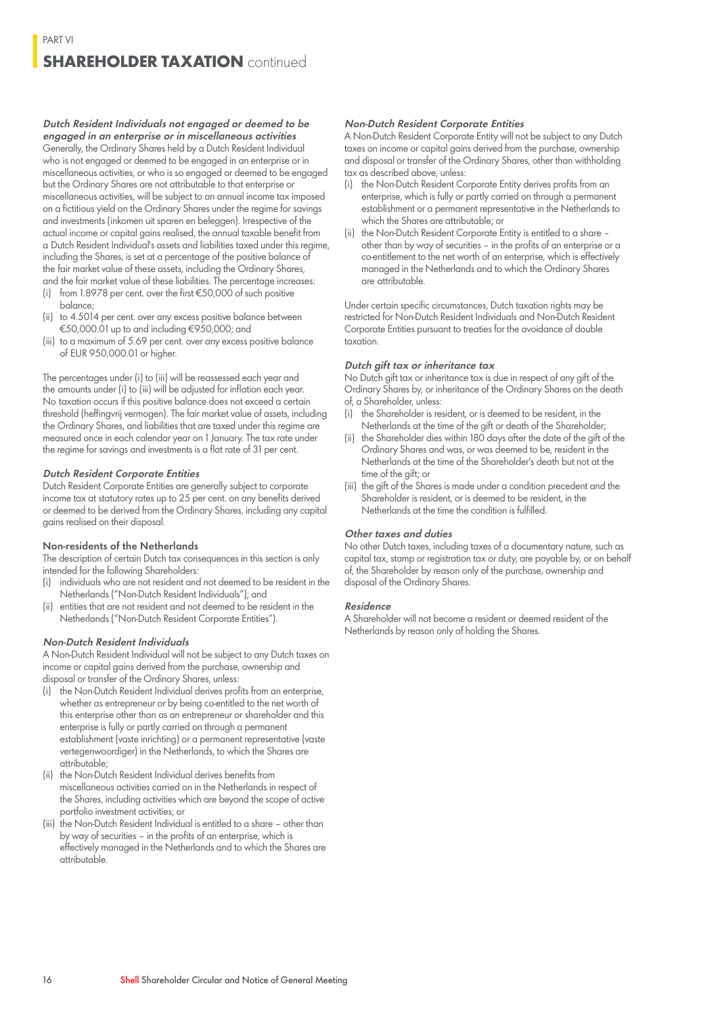### **SHAREHOLDER TAXATION** continued

Dutch Resident Individuals not engaged or deemed to be engaged in an enterprise or in miscellaneous activities Generally, the Ordinary Shares held by a Dutch Resident Individual who is not engaged or deemed to be engaged in an enterprise or in miscellaneous activities, or who is so engaged or deemed to be engaged but the Ordinary Shares are not attributable to that enterprise or miscellaneous activities, will be subject to an annual income tax imposed on a fictitious yield on the Ordinary Shares under the regime for savings and investments (inkomen uit sparen en beleggen). Irrespective of the actual income or capital gains realised, the annual taxable benefit from a Dutch Resident Individual's assets and liabilities taxed under this regime, including the Shares, is set at a percentage of the positive balance of the fair market value of these assets, including the Ordinary Shares, and the fair market value of these liabilities. The percentage increases:

- (i) from 1.8978 per cent. over the first €50,000 of such positive balance;
- (ii) to 4.5014 per cent. over any excess positive balance between €50,000.01 up to and including €950,000; and
- (iii) to a maximum of 5.69 per cent. over any excess positive balance of EUR 950,000.01 or higher.

The percentages under (i) to (iii) will be reassessed each year and the amounts under (i) to (iii) will be adjusted for inflation each year. No taxation occurs if this positive balance does not exceed a certain threshold (heffingvrij vermogen). The fair market value of assets, including the Ordinary Shares, and liabilities that are taxed under this regime are measured once in each calendar year on 1 January. The tax rate under the regime for savings and investments is a flat rate of 31 per cent.

#### Dutch Resident Corporate Entities

Dutch Resident Corporate Entities are generally subject to corporate income tax at statutory rates up to 25 per cent. on any benefits derived or deemed to be derived from the Ordinary Shares, including any capital gains realised on their disposal.

#### Non-residents of the Netherlands

The description of certain Dutch tax consequences in this section is only intended for the following Shareholders:

- (i) individuals who are not resident and not deemed to be resident in the Netherlands ("Non-Dutch Resident Individuals"); and
- (ii) entities that are not resident and not deemed to be resident in the Netherlands ("Non-Dutch Resident Corporate Entities").

#### Non-Dutch Resident Individuals

A Non-Dutch Resident Individual will not be subject to any Dutch taxes on income or capital gains derived from the purchase, ownership and disposal or transfer of the Ordinary Shares, unless:

(i) the Non-Dutch Resident Individual derives profits from an enterprise, whether as entrepreneur or by being co-entitled to the net worth of

- this enterprise other than as an entrepreneur or shareholder and this enterprise is fully or partly carried on through a permanent establishment (vaste inrichting) or a permanent representative (vaste vertegenwoordiger) in the Netherlands, to which the Shares are attributable;
- (ii) the Non-Dutch Resident Individual derives benefits from miscellaneous activities carried on in the Netherlands in respect of the Shares, including activities which are beyond the scope of active portfolio investment activities; or
- (iii) the Non-Dutch Resident Individual is entitled to a share other than by way of securities – in the profits of an enterprise, which is effectively managed in the Netherlands and to which the Shares are attributable.

#### Non-Dutch Resident Corporate Entities

A Non-Dutch Resident Corporate Entity will not be subject to any Dutch taxes on income or capital gains derived from the purchase, ownership and disposal or transfer of the Ordinary Shares, other than withholding tax as described above, unless:

- (i) the Non-Dutch Resident Corporate Entity derives profits from an enterprise, which is fully or partly carried on through a permanent establishment or a permanent representative in the Netherlands to which the Shares are attributable; or
- (ii) the Non-Dutch Resident Corporate Entity is entitled to a share other than by way of securities – in the profits of an enterprise or a co-entitlement to the net worth of an enterprise, which is effectively managed in the Netherlands and to which the Ordinary Shares are attributable.

Under certain specific circumstances, Dutch taxation rights may be restricted for Non-Dutch Resident Individuals and Non-Dutch Resident Corporate Entities pursuant to treaties for the avoidance of double taxation.

#### Dutch gift tax or inheritance tax

No Dutch gift tax or inheritance tax is due in respect of any gift of the Ordinary Shares by, or inheritance of the Ordinary Shares on the death of, a Shareholder, unless:

- (i) the Shareholder is resident, or is deemed to be resident, in the Netherlands at the time of the gift or death of the Shareholder;
- (ii) the Shareholder dies within 180 days after the date of the gift of the Ordinary Shares and was, or was deemed to be, resident in the Netherlands at the time of the Shareholder's death but not at the time of the gift; or
- (iii) the gift of the Shares is made under a condition precedent and the Shareholder is resident, or is deemed to be resident, in the Netherlands at the time the condition is fulfilled.

#### Other taxes and duties

No other Dutch taxes, including taxes of a documentary nature, such as capital tax, stamp or registration tax or duty, are payable by, or on behalf of, the Shareholder by reason only of the purchase, ownership and disposal of the Ordinary Shares.

#### Residence

A Shareholder will not become a resident or deemed resident of the Netherlands by reason only of holding the Shares.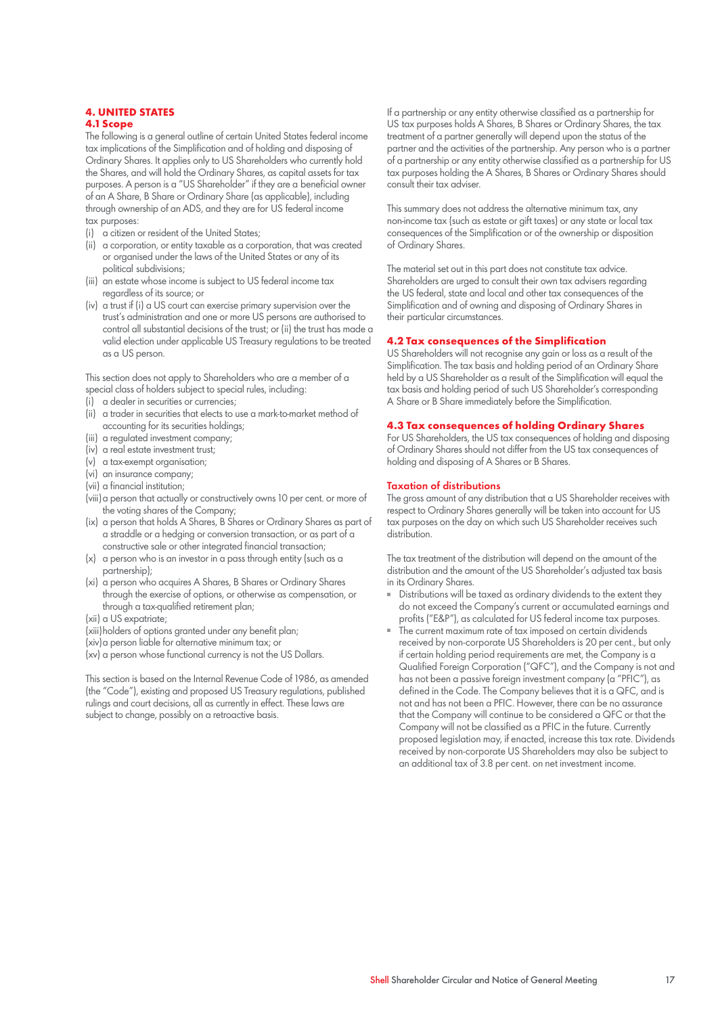#### **4. UNITED STATES 4.1 Scope**

The following is a general outline of certain United States federal income tax implications of the Simplification and of holding and disposing of Ordinary Shares. It applies only to US Shareholders who currently hold the Shares, and will hold the Ordinary Shares, as capital assets for tax purposes. A person is a "US Shareholder" if they are a beneficial owner of an A Share, B Share or Ordinary Share (as applicable), including through ownership of an ADS, and they are for US federal income tax purposes:

- (i) a citizen or resident of the United States;
- (ii) a corporation, or entity taxable as a corporation, that was created or organised under the laws of the United States or any of its political subdivisions;
- (iii) an estate whose income is subject to US federal income tax regardless of its source; or
- (iv) a trust if (i) a US court can exercise primary supervision over the trust's administration and one or more US persons are authorised to control all substantial decisions of the trust; or (ii) the trust has made a valid election under applicable US Treasury regulations to be treated as a US person.

This section does not apply to Shareholders who are a member of a special class of holders subject to special rules, including:

- (i) a dealer in securities or currencies;
- (ii) a trader in securities that elects to use a mark-to-market method of accounting for its securities holdings;
- (iii) a regulated investment company;
- (iv) a real estate investment trust;
- (v) a tax-exempt organisation;
- (vi) an insurance company;
- (vii) a financial institution;
- (viii)a person that actually or constructively owns 10 per cent. or more of the voting shares of the Company;
- (ix) a person that holds A Shares, B Shares or Ordinary Shares as part of a straddle or a hedging or conversion transaction, or as part of a constructive sale or other integrated financial transaction;
- (x) a person who is an investor in a pass through entity (such as a partnership);
- (xi) a person who acquires A Shares, B Shares or Ordinary Shares through the exercise of options, or otherwise as compensation, or through a tax-qualified retirement plan;
- (xii) a US expatriate;
- (xiii)holders of options granted under any benefit plan;
- (xiv)a person liable for alternative minimum tax; or
- (xv) a person whose functional currency is not the US Dollars.

This section is based on the Internal Revenue Code of 1986, as amended (the "Code"), existing and proposed US Treasury regulations, published rulings and court decisions, all as currently in effect. These laws are subject to change, possibly on a retroactive basis.

If a partnership or any entity otherwise classified as a partnership for US tax purposes holds A Shares, B Shares or Ordinary Shares, the tax treatment of a partner generally will depend upon the status of the partner and the activities of the partnership. Any person who is a partner of a partnership or any entity otherwise classified as a partnership for US tax purposes holding the A Shares, B Shares or Ordinary Shares should consult their tax adviser.

This summary does not address the alternative minimum tax, any non-income tax (such as estate or gift taxes) or any state or local tax consequences of the Simplification or of the ownership or disposition of Ordinary Shares.

The material set out in this part does not constitute tax advice. Shareholders are urged to consult their own tax advisers regarding the US federal, state and local and other tax consequences of the Simplification and of owning and disposing of Ordinary Shares in their particular circumstances.

#### **4.2 Tax consequences of the Simplification**

US Shareholders will not recognise any gain or loss as a result of the Simplification. The tax basis and holding period of an Ordinary Share held by a US Shareholder as a result of the Simplification will equal the tax basis and holding period of such US Shareholder's corresponding A Share or B Share immediately before the Simplification.

#### **4.3 Tax consequences of holding Ordinary Shares**

For US Shareholders, the US tax consequences of holding and disposing of Ordinary Shares should not differ from the US tax consequences of holding and disposing of A Shares or B Shares.

#### Taxation of distributions

The gross amount of any distribution that a US Shareholder receives with respect to Ordinary Shares generally will be taken into account for US tax purposes on the day on which such US Shareholder receives such distribution.

The tax treatment of the distribution will depend on the amount of the distribution and the amount of the US Shareholder's adjusted tax basis in its Ordinary Shares.

- Distributions will be taxed as ordinary dividends to the extent they do not exceed the Company's current or accumulated earnings and profits ("E&P"), as calculated for US federal income tax purposes.
- The current maximum rate of tax imposed on certain dividends received by non-corporate US Shareholders is 20 per cent., but only if certain holding period requirements are met, the Company is a Qualified Foreign Corporation ("QFC"), and the Company is not and has not been a passive foreign investment company (a "PFIC"), as defined in the Code. The Company believes that it is a QFC, and is not and has not been a PFIC. However, there can be no assurance that the Company will continue to be considered a QFC or that the Company will not be classified as a PFIC in the future. Currently proposed legislation may, if enacted, increase this tax rate. Dividends received by non-corporate US Shareholders may also be subject to an additional tax of 3.8 per cent. on net investment income.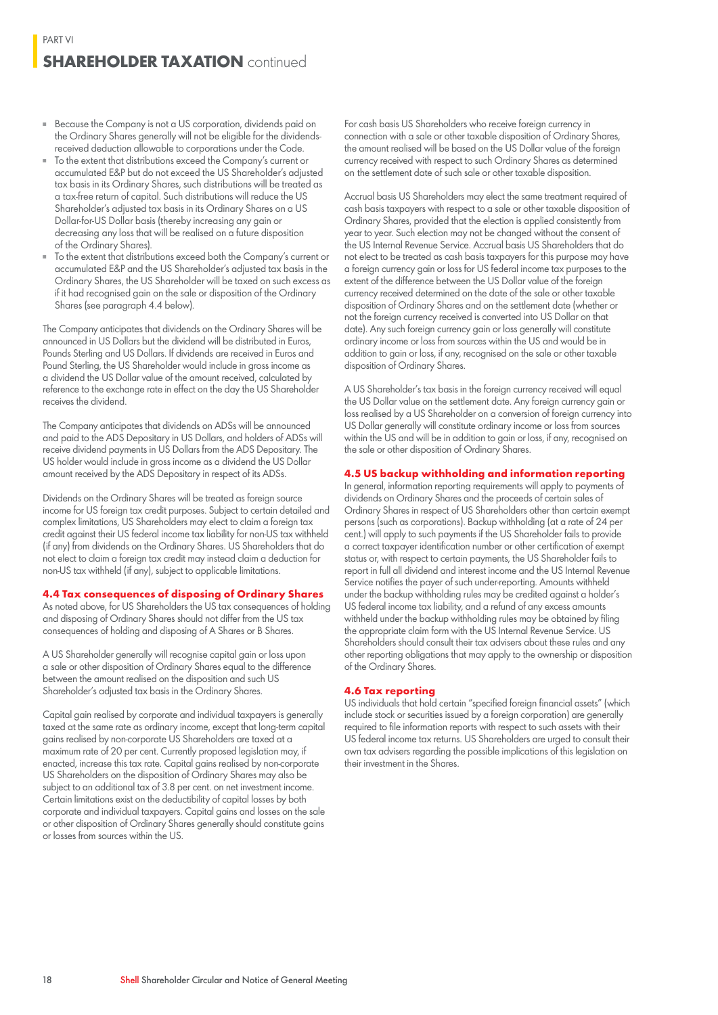### **SHAREHOLDER TAXATION** continued

- Because the Company is not a US corporation, dividends paid on the Ordinary Shares generally will not be eligible for the dividendsreceived deduction allowable to corporations under the Code.
- To the extent that distributions exceed the Company's current or accumulated E&P but do not exceed the US Shareholder's adjusted tax basis in its Ordinary Shares, such distributions will be treated as a tax-free return of capital. Such distributions will reduce the US Shareholder's adjusted tax basis in its Ordinary Shares on a US Dollar-for-US Dollar basis (thereby increasing any gain or decreasing any loss that will be realised on a future disposition of the Ordinary Shares).
- To the extent that distributions exceed both the Company's current or accumulated E&P and the US Shareholder's adjusted tax basis in the Ordinary Shares, the US Shareholder will be taxed on such excess as if it had recognised gain on the sale or disposition of the Ordinary Shares (see paragraph 4.4 below).

The Company anticipates that dividends on the Ordinary Shares will be announced in US Dollars but the dividend will be distributed in Euros, Pounds Sterling and US Dollars. If dividends are received in Euros and Pound Sterling, the US Shareholder would include in gross income as a dividend the US Dollar value of the amount received, calculated by reference to the exchange rate in effect on the day the US Shareholder receives the dividend.

The Company anticipates that dividends on ADSs will be announced and paid to the ADS Depositary in US Dollars, and holders of ADSs will receive dividend payments in US Dollars from the ADS Depositary. The US holder would include in gross income as a dividend the US Dollar amount received by the ADS Depositary in respect of its ADSs.

Dividends on the Ordinary Shares will be treated as foreign source income for US foreign tax credit purposes. Subject to certain detailed and complex limitations, US Shareholders may elect to claim a foreign tax credit against their US federal income tax liability for non-US tax withheld (if any) from dividends on the Ordinary Shares. US Shareholders that do not elect to claim a foreign tax credit may instead claim a deduction for non-US tax withheld (if any), subject to applicable limitations.

#### **4.4 Tax consequences of disposing of Ordinary Shares**

As noted above, for US Shareholders the US tax consequences of holding and disposing of Ordinary Shares should not differ from the US tax consequences of holding and disposing of A Shares or B Shares.

A US Shareholder generally will recognise capital gain or loss upon a sale or other disposition of Ordinary Shares equal to the difference between the amount realised on the disposition and such US Shareholder's adjusted tax basis in the Ordinary Shares.

Capital gain realised by corporate and individual taxpayers is generally taxed at the same rate as ordinary income, except that long-term capital gains realised by non-corporate US Shareholders are taxed at a maximum rate of 20 per cent. Currently proposed legislation may, if enacted, increase this tax rate. Capital gains realised by non-corporate US Shareholders on the disposition of Ordinary Shares may also be subject to an additional tax of 3.8 per cent. on net investment income. Certain limitations exist on the deductibility of capital losses by both corporate and individual taxpayers. Capital gains and losses on the sale or other disposition of Ordinary Shares generally should constitute gains or losses from sources within the US.

For cash basis US Shareholders who receive foreign currency in connection with a sale or other taxable disposition of Ordinary Shares, the amount realised will be based on the US Dollar value of the foreign currency received with respect to such Ordinary Shares as determined on the settlement date of such sale or other taxable disposition.

Accrual basis US Shareholders may elect the same treatment required of cash basis taxpayers with respect to a sale or other taxable disposition of Ordinary Shares, provided that the election is applied consistently from year to year. Such election may not be changed without the consent of the US Internal Revenue Service. Accrual basis US Shareholders that do not elect to be treated as cash basis taxpayers for this purpose may have a foreign currency gain or loss for US federal income tax purposes to the extent of the difference between the US Dollar value of the foreign currency received determined on the date of the sale or other taxable disposition of Ordinary Shares and on the settlement date (whether or not the foreign currency received is converted into US Dollar on that date). Any such foreign currency gain or loss generally will constitute ordinary income or loss from sources within the US and would be in addition to gain or loss, if any, recognised on the sale or other taxable disposition of Ordinary Shares.

A US Shareholder's tax basis in the foreign currency received will equal the US Dollar value on the settlement date. Any foreign currency gain or loss realised by a US Shareholder on a conversion of foreign currency into US Dollar generally will constitute ordinary income or loss from sources within the US and will be in addition to gain or loss, if any, recognised on the sale or other disposition of Ordinary Shares.

#### **4.5 US backup withholding and information reporting**

In general, information reporting requirements will apply to payments of dividends on Ordinary Shares and the proceeds of certain sales of Ordinary Shares in respect of US Shareholders other than certain exempt persons (such as corporations). Backup withholding (at a rate of 24 per cent.) will apply to such payments if the US Shareholder fails to provide a correct taxpayer identification number or other certification of exempt status or, with respect to certain payments, the US Shareholder fails to report in full all dividend and interest income and the US Internal Revenue Service notifies the payer of such under-reporting. Amounts withheld under the backup withholding rules may be credited against a holder's US federal income tax liability, and a refund of any excess amounts withheld under the backup withholding rules may be obtained by filing the appropriate claim form with the US Internal Revenue Service. US Shareholders should consult their tax advisers about these rules and any other reporting obligations that may apply to the ownership or disposition of the Ordinary Shares.

#### **4.6 Tax reporting**

US individuals that hold certain "specified foreign financial assets" (which include stock or securities issued by a foreign corporation) are generally required to file information reports with respect to such assets with their US federal income tax returns. US Shareholders are urged to consult their own tax advisers regarding the possible implications of this legislation on their investment in the Shares.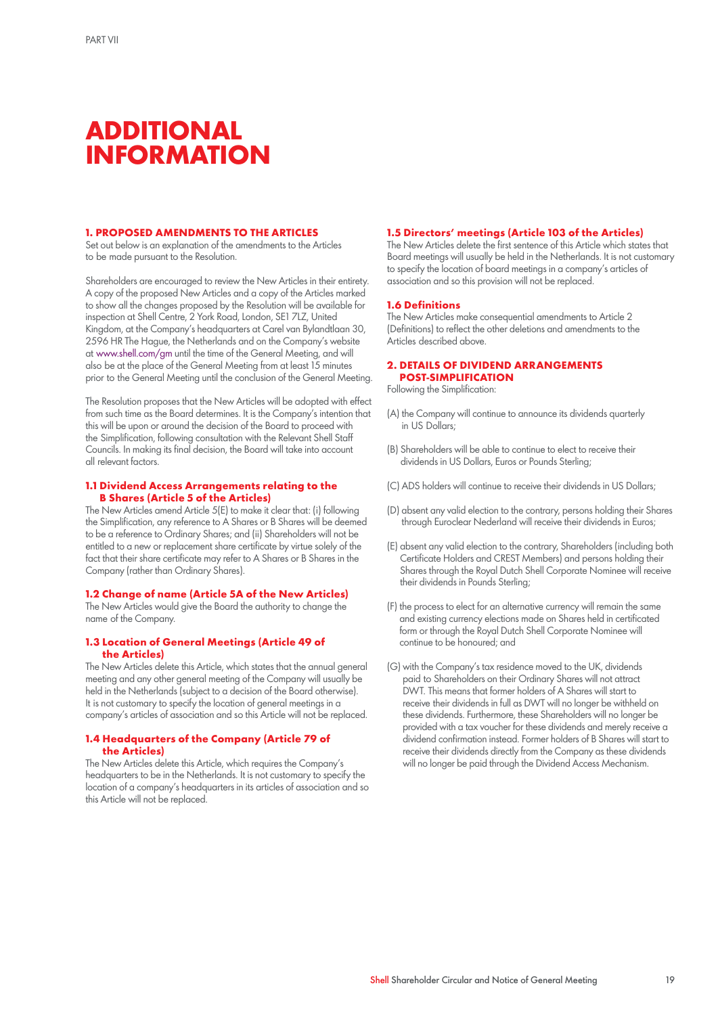## **ADDITIONAL INFORMATION**

#### **1. PROPOSED AMENDMENTS TO THE ARTICLES**

Set out below is an explanation of the amendments to the Articles to be made pursuant to the Resolution.

Shareholders are encouraged to review the New Articles in their entirety. A copy of the proposed New Articles and a copy of the Articles marked to show all the changes proposed by the Resolution will be available for inspection at Shell Centre, 2 York Road, London, SE1 7LZ, United Kingdom, at the Company's headquarters at Carel van Bylandtlaan 30, 2596 HR The Hague, the Netherlands and on the Company's website at www.shell.com/gm until the time of the General Meeting, and will also be at the place of the General Meeting from at least 15 minutes prior to the General Meeting until the conclusion of the General Meeting.

The Resolution proposes that the New Articles will be adopted with effect from such time as the Board determines. It is the Company's intention that this will be upon or around the decision of the Board to proceed with the Simplification, following consultation with the Relevant Shell Staff Councils. In making its final decision, the Board will take into account all relevant factors.

#### **1.1 Dividend Access Arrangements relating to the B Shares (Article 5 of the Articles)**

The New Articles amend Article 5(E) to make it clear that: (i) following the Simplification, any reference to A Shares or B Shares will be deemed to be a reference to Ordinary Shares; and (ii) Shareholders will not be entitled to a new or replacement share certificate by virtue solely of the fact that their share certificate may refer to A Shares or B Shares in the Company (rather than Ordinary Shares).

#### **1.2 Change of name (Article 5A of the New Articles)**

The New Articles would give the Board the authority to change the name of the Company.

#### **1.3 Location of General Meetings (Article 49 of the Articles)**

The New Articles delete this Article, which states that the annual general meeting and any other general meeting of the Company will usually be held in the Netherlands (subject to a decision of the Board otherwise). It is not customary to specify the location of general meetings in a company's articles of association and so this Article will not be replaced.

#### **1.4 Headquarters of the Company (Article 79 of the Articles)**

The New Articles delete this Article, which requires the Company's headquarters to be in the Netherlands. It is not customary to specify the location of a company's headquarters in its articles of association and so this Article will not be replaced.

#### **1.5 Directors' meetings (Article 103 of the Articles)**

The New Articles delete the first sentence of this Article which states that Board meetings will usually be held in the Netherlands. It is not customary to specify the location of board meetings in a company's articles of association and so this provision will not be replaced.

#### **1.6 Definitions**

The New Articles make consequential amendments to Article 2 (Definitions) to reflect the other deletions and amendments to the Articles described above.

#### **2. DETAILS OF DIVIDEND ARRANGEMENTS POST-SIMPLIFICATION**

Following the Simplification:

- (A) the Company will continue to announce its dividends quarterly in US Dollars;
- (B) Shareholders will be able to continue to elect to receive their dividends in US Dollars, Euros or Pounds Sterling;
- (C) ADS holders will continue to receive their dividends in US Dollars;
- (D) absent any valid election to the contrary, persons holding their Shares through Euroclear Nederland will receive their dividends in Euros;
- (E) absent any valid election to the contrary, Shareholders (including both Certificate Holders and CREST Members) and persons holding their Shares through the Royal Dutch Shell Corporate Nominee will receive their dividends in Pounds Sterling;
- (F) the process to elect for an alternative currency will remain the same and existing currency elections made on Shares held in certificated form or through the Royal Dutch Shell Corporate Nominee will continue to be honoured; and
- (G) with the Company's tax residence moved to the UK, dividends paid to Shareholders on their Ordinary Shares will not attract DWT. This means that former holders of A Shares will start to receive their dividends in full as DWT will no longer be withheld on these dividends. Furthermore, these Shareholders will no longer be provided with a tax voucher for these dividends and merely receive a dividend confirmation instead. Former holders of B Shares will start to receive their dividends directly from the Company as these dividends will no longer be paid through the Dividend Access Mechanism.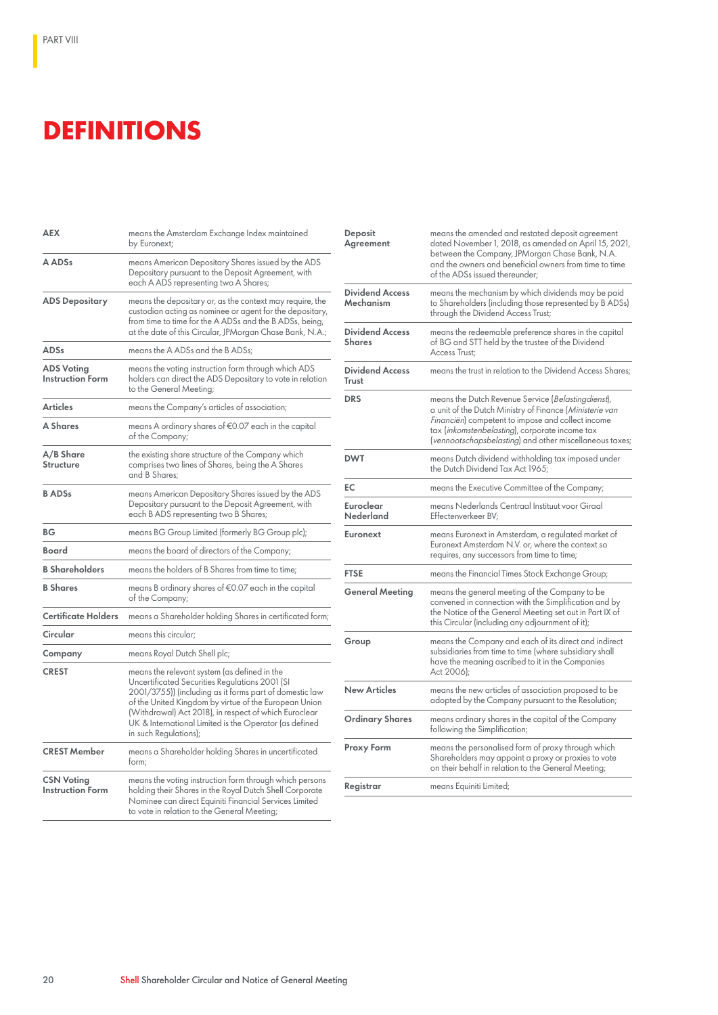## **DEFINITIONS**

| <b>AEX</b>                                   | means the Amsterdam Exchange Index maintained<br>by Euronext;                                                                                                                                                                                                                                                                                                  |
|----------------------------------------------|----------------------------------------------------------------------------------------------------------------------------------------------------------------------------------------------------------------------------------------------------------------------------------------------------------------------------------------------------------------|
| A ADSs                                       | means American Depositary Shares issued by the ADS<br>Depositary pursuant to the Deposit Agreement, with<br>each A ADS representing two A Shares;                                                                                                                                                                                                              |
| <b>ADS Depositary</b>                        | means the depositary or, as the context may require, the<br>custodian acting as nominee or agent for the depositary,<br>from time to time for the A ADSs and the B ADSs, being,<br>at the date of this Circular, JPMorgan Chase Bank, N.A.;                                                                                                                    |
| <b>ADSs</b>                                  | means the A ADSs and the B ADSs;                                                                                                                                                                                                                                                                                                                               |
| <b>ADS Voting</b><br><b>Instruction Form</b> | means the voting instruction form through which ADS<br>holders can direct the ADS Depositary to vote in relation<br>to the General Meetina;                                                                                                                                                                                                                    |
| Articles                                     | means the Company's articles of association;                                                                                                                                                                                                                                                                                                                   |
| A Shares                                     | means A ordinary shares of €0.07 each in the capital<br>of the Company;                                                                                                                                                                                                                                                                                        |
| A/B Share<br>Structure                       | the existing share structure of the Company which<br>comprises two lines of Shares, being the A Shares<br>and B Shares;                                                                                                                                                                                                                                        |
| <b>BADSs</b>                                 | means American Depositary Shares issued by the ADS<br>Depositary pursuant to the Deposit Agreement, with<br>each B ADS representing two B Shares;                                                                                                                                                                                                              |
| ВG                                           | means BG Group Limited (formerly BG Group plc);                                                                                                                                                                                                                                                                                                                |
| Board                                        | means the board of directors of the Company;                                                                                                                                                                                                                                                                                                                   |
| <b>B Shareholders</b>                        | means the holders of B Shares from time to time;                                                                                                                                                                                                                                                                                                               |
| <b>B</b> Shares                              | means B ordinary shares of €0.07 each in the capital<br>of the Company;                                                                                                                                                                                                                                                                                        |
| <b>Certificate Holders</b>                   | means a Shareholder holding Shares in certificated form;                                                                                                                                                                                                                                                                                                       |
| Circular                                     | means this circular;                                                                                                                                                                                                                                                                                                                                           |
| Company                                      | means Royal Dutch Shell plc;                                                                                                                                                                                                                                                                                                                                   |
| <b>CREST</b>                                 | means the relevant system (as defined in the<br>Uncertificated Securities Regulations 2001 (SI<br>2001/3755)) (including as it forms part of domestic law<br>of the United Kingdom by virtue of the European Union<br>(Withdrawal) Act 2018), in respect of which Euroclear<br>UK & International Limited is the Operator (as defined<br>in such Regulations); |
| <b>CREST Member</b>                          | means a Shareholder holding Shares in uncertificated<br>form;                                                                                                                                                                                                                                                                                                  |
| <b>CSN Voting</b><br><b>Instruction Form</b> | means the voting instruction form through which persons<br>holding their Shares in the Royal Dutch Shell Corporate<br>Nominee can direct Equiniti Financial Services Limited<br>to vote in relation to the General Meeting;                                                                                                                                    |

| Deposit<br>Agreement                    | means the amended and restated deposit agreement<br>dated November 1, 2018, as amended on April 15, 2021,<br>between the Company, JPMorgan Chase Bank, N.A.<br>and the owners and beneficial owners from time to time<br>of the ADSs issued thereunder:                                         |
|-----------------------------------------|-------------------------------------------------------------------------------------------------------------------------------------------------------------------------------------------------------------------------------------------------------------------------------------------------|
| <b>Dividend Access</b><br>Mechanism     | means the mechanism by which dividends may be paid<br>to Shareholders (including those represented by B ADSs)<br>through the Dividend Access Trust;                                                                                                                                             |
| <b>Dividend Access</b><br><b>Shares</b> | means the redeemable preference shares in the capital<br>of BG and STT held by the trustee of the Dividend<br>Access Trust;                                                                                                                                                                     |
| <b>Dividend Access</b><br>Trust         | means the trust in relation to the Dividend Access Shares;                                                                                                                                                                                                                                      |
| <b>DRS</b>                              | means the Dutch Revenue Service (Belastingdienst),<br>a unit of the Dutch Ministry of Finance ( <i>Ministerie van</i><br><i>Financiën</i> ) competent to impose and collect income<br>tax (inkomstenbelasting), corporate income tax<br>(vennootschapsbelasting) and other miscellaneous taxes; |
| <b>DWT</b>                              | means Dutch dividend withholding tax imposed under<br>the Dutch Dividend Tax Act 1965;                                                                                                                                                                                                          |
| EC                                      | means the Executive Committee of the Company;                                                                                                                                                                                                                                                   |
| Euroclear<br>Nederland                  | means Nederlands Centraal Instituut voor Giraal<br>Effectenverkeer BV;                                                                                                                                                                                                                          |
| <b>Euronext</b>                         | means Euronext in Amsterdam, a regulated market of<br>Euronext Amsterdam N.V. or, where the context so<br>requires, any successors from time to time;                                                                                                                                           |
| <b>FTSE</b>                             | means the Financial Times Stock Exchange Group;                                                                                                                                                                                                                                                 |
| <b>General Meeting</b>                  | means the general meeting of the Company to be<br>convened in connection with the Simplification and by<br>the Notice of the General Meeting set out in Part IX of<br>this Circular (including any adjournment of it);                                                                          |
| Group                                   | means the Company and each of its direct and indirect<br>subsidiaries from time to time (where subsidiary shall<br>have the meaning ascribed to it in the Companies<br>Act 2006);                                                                                                               |
| New Articles                            | means the new articles of association proposed to be<br>adopted by the Company pursuant to the Resolution;                                                                                                                                                                                      |
| Ordinary Shares                         | means ordinary shares in the capital of the Company<br>following the Simplification;                                                                                                                                                                                                            |
| <b>Proxy Form</b>                       | means the personalised form of proxy through which<br>Shareholders may appoint a proxy or proxies to vote<br>on their behalf in relation to the General Meeting;                                                                                                                                |
| Registrar                               | means Equiniti Limited;                                                                                                                                                                                                                                                                         |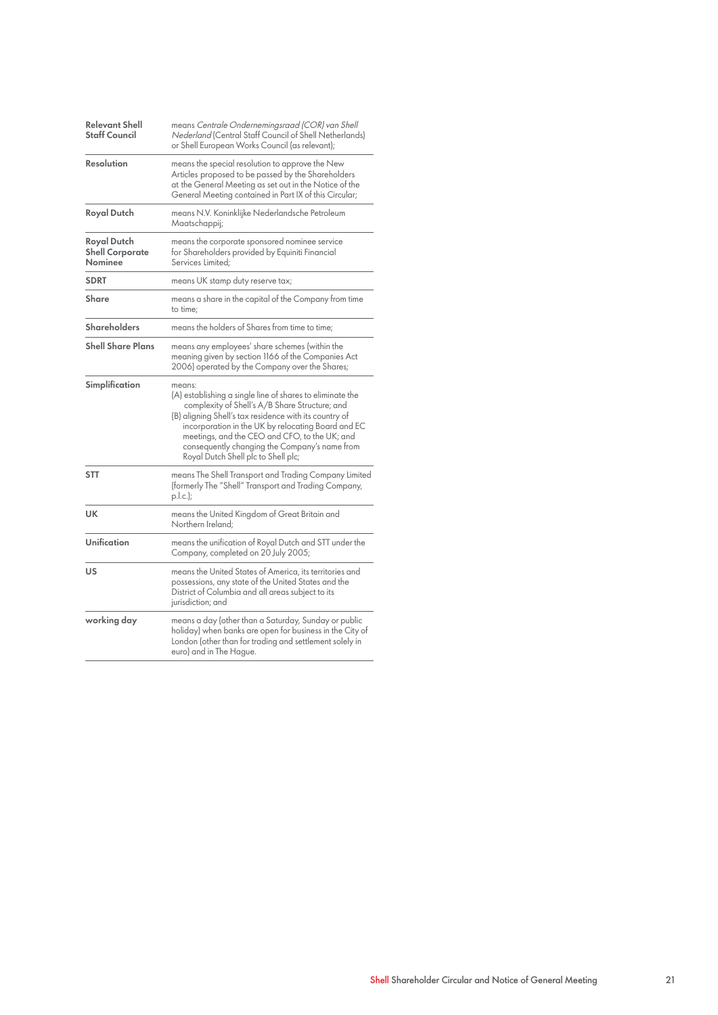| <b>Relevant Shell</b><br><b>Staff Council</b>    | means Centrale Ondernemingsraad (COR) van Shell<br>Nederland (Central Staff Council of Shell Netherlands)<br>or Shell European Works Council (as relevant);                                                                                                                                                                                                                    |
|--------------------------------------------------|--------------------------------------------------------------------------------------------------------------------------------------------------------------------------------------------------------------------------------------------------------------------------------------------------------------------------------------------------------------------------------|
| Resolution                                       | means the special resolution to approve the New<br>Articles proposed to be passed by the Shareholders<br>at the General Meeting as set out in the Notice of the<br>General Meeting contained in Part IX of this Circular;                                                                                                                                                      |
| Royal Dutch                                      | means N.V. Koninklijke Nederlandsche Petroleum<br>Maatschappij;                                                                                                                                                                                                                                                                                                                |
| Royal Dutch<br><b>Shell Corporate</b><br>Nominee | means the corporate sponsored nominee service<br>for Shareholders provided by Equiniti Financial<br>Services Limited:                                                                                                                                                                                                                                                          |
| <b>SDRT</b>                                      | means UK stamp duty reserve tax;                                                                                                                                                                                                                                                                                                                                               |
| Share                                            | means a share in the capital of the Company from time<br>to time:                                                                                                                                                                                                                                                                                                              |
| <b>Shareholders</b>                              | means the holders of Shares from time to time;                                                                                                                                                                                                                                                                                                                                 |
| <b>Shell Share Plans</b>                         | means any employees' share schemes (within the<br>meaning given by section 1166 of the Companies Act<br>2006) operated by the Company over the Shares;                                                                                                                                                                                                                         |
| Simplification                                   | means:<br>(A) establishing a single line of shares to eliminate the<br>complexity of Shell's A/B Share Structure; and<br>(B) aligning Shell's tax residence with its country of<br>incorporation in the UK by relocating Board and EC<br>meetings, and the CEO and CFO, to the UK; and<br>consequently changing the Company's name from<br>Royal Dutch Shell plc to Shell plc; |
| <b>STT</b>                                       | means The Shell Transport and Trading Company Limited<br>(formerly The "Shell" Transport and Trading Company,<br>$p.l.c.$ );                                                                                                                                                                                                                                                   |
| UK                                               | means the United Kingdom of Great Britain and<br>Northern Ireland:                                                                                                                                                                                                                                                                                                             |
| Unification                                      | means the unification of Royal Dutch and STT under the<br>Company, completed on 20 July 2005;                                                                                                                                                                                                                                                                                  |
| US                                               | means the United States of America, its territories and<br>possessions, any state of the United States and the<br>District of Columbia and all areas subject to its<br>jurisdiction; and                                                                                                                                                                                       |
| working day                                      | means a day (other than a Saturday, Sunday or public<br>holiday) when banks are open for business in the City of<br>London (other than for trading and settlement solely in<br>euro) and in The Hague.                                                                                                                                                                         |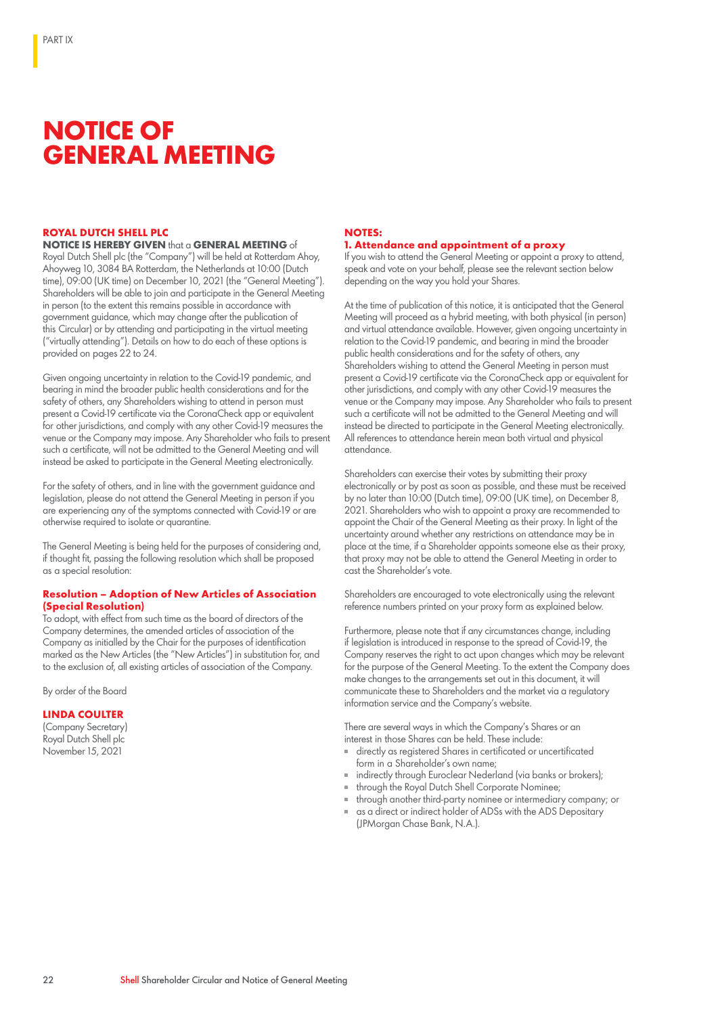## **NOTICE OF GENERAL MEETING**

#### **ROYAL DUTCH SHELL PLC**

**NOTICE IS HEREBY GIVEN** that a **GENERAL MEETING** of Royal Dutch Shell plc (the "Company") will be held at Rotterdam Ahoy, Ahoyweg 10, 3084 BA Rotterdam, the Netherlands at 10:00 (Dutch time), 09:00 (UK time) on December 10, 2021 (the "General Meeting"). Shareholders will be able to join and participate in the General Meeting in person (to the extent this remains possible in accordance with government guidance, which may change after the publication of this Circular) or by attending and participating in the virtual meeting ("virtually attending"). Details on how to do each of these options is provided on pages 22 to 24.

Given ongoing uncertainty in relation to the Covid-19 pandemic, and bearing in mind the broader public health considerations and for the safety of others, any Shareholders wishing to attend in person must present a Covid-19 certificate via the CoronaCheck app or equivalent for other jurisdictions, and comply with any other Covid-19 measures the venue or the Company may impose. Any Shareholder who fails to present such a certificate, will not be admitted to the General Meeting and will instead be asked to participate in the General Meeting electronically.

For the safety of others, and in line with the government guidance and legislation, please do not attend the General Meeting in person if you are experiencing any of the symptoms connected with Covid-19 or are otherwise required to isolate or quarantine.

The General Meeting is being held for the purposes of considering and, if thought fit, passing the following resolution which shall be proposed as a special resolution:

#### **Resolution – Adoption of New Articles of Association (Special Resolution)**

To adopt, with effect from such time as the board of directors of the Company determines, the amended articles of association of the Company as initialled by the Chair for the purposes of identification marked as the New Articles (the "New Articles") in substitution for, and to the exclusion of, all existing articles of association of the Company.

By order of the Board

#### **LINDA COULTER**

(Company Secretary) Royal Dutch Shell plc November 15, 2021

#### **NOTES: 1. Attendance and appointment of a proxy**

If you wish to attend the General Meeting or appoint a proxy to attend, speak and vote on your behalf, please see the relevant section below depending on the way you hold your Shares.

At the time of publication of this notice, it is anticipated that the General Meeting will proceed as a hybrid meeting, with both physical (in person) and virtual attendance available. However, given ongoing uncertainty in relation to the Covid-19 pandemic, and bearing in mind the broader public health considerations and for the safety of others, any Shareholders wishing to attend the General Meeting in person must present a Covid-19 certificate via the CoronaCheck app or equivalent for other jurisdictions, and comply with any other Covid-19 measures the venue or the Company may impose. Any Shareholder who fails to present such a certificate will not be admitted to the General Meeting and will instead be directed to participate in the General Meeting electronically. All references to attendance herein mean both virtual and physical attendance.

Shareholders can exercise their votes by submitting their proxy electronically or by post as soon as possible, and these must be received by no later than 10:00 (Dutch time), 09:00 (UK time), on December 8, 2021. Shareholders who wish to appoint a proxy are recommended to appoint the Chair of the General Meeting as their proxy. In light of the uncertainty around whether any restrictions on attendance may be in place at the time, if a Shareholder appoints someone else as their proxy, that proxy may not be able to attend the General Meeting in order to cast the Shareholder's vote.

Shareholders are encouraged to vote electronically using the relevant reference numbers printed on your proxy form as explained below.

Furthermore, please note that if any circumstances change, including if legislation is introduced in response to the spread of Covid-19, the Company reserves the right to act upon changes which may be relevant for the purpose of the General Meeting. To the extent the Company does make changes to the arrangements set out in this document, it will communicate these to Shareholders and the market via a regulatory information service and the Company's website.

There are several ways in which the Company's Shares or an interest in those Shares can be held. These include:

- directly as registered Shares in certificated or uncertificated form in a Shareholder's own name;
- indirectly through Euroclear Nederland (via banks or brokers);
- through the Royal Dutch Shell Corporate Nominee;
	- through another third-party nominee or intermediary company; or
- as a direct or indirect holder of ADSs with the ADS Depositary (JPMorgan Chase Bank, N.A.).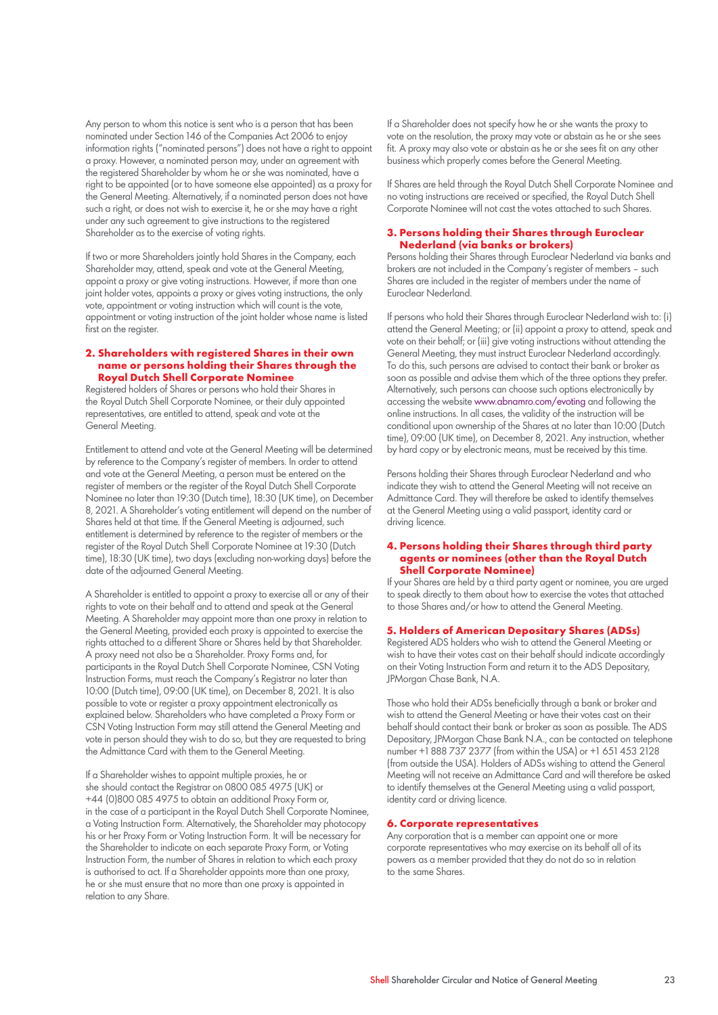Any person to whom this notice is sent who is a person that has been nominated under Section 146 of the Companies Act 2006 to enjoy information rights ("nominated persons") does not have a right to appoint a proxy. However, a nominated person may, under an agreement with the registered Shareholder by whom he or she was nominated, have a right to be appointed (or to have someone else appointed) as a proxy for the General Meeting. Alternatively, if a nominated person does not have such a right, or does not wish to exercise it, he or she may have a right under any such agreement to give instructions to the registered Shareholder as to the exercise of voting rights.

If two or more Shareholders jointly hold Shares in the Company, each Shareholder may, attend, speak and vote at the General Meeting, appoint a proxy or give voting instructions. However, if more than one joint holder votes, appoints a proxy or gives voting instructions, the only vote, appointment or voting instruction which will count is the vote, appointment or voting instruction of the joint holder whose name is listed first on the register.

#### **2. Shareholders with registered Shares in their own name or persons holding their Shares through the Royal Dutch Shell Corporate Nominee**

Registered holders of Shares or persons who hold their Shares in the Royal Dutch Shell Corporate Nominee, or their duly appointed representatives, are entitled to attend, speak and vote at the General Meeting.

Entitlement to attend and vote at the General Meeting will be determined by reference to the Company's register of members. In order to attend and vote at the General Meeting, a person must be entered on the register of members or the register of the Royal Dutch Shell Corporate Nominee no later than 19:30 (Dutch time), 18:30 (UK time), on December 8, 2021. A Shareholder's voting entitlement will depend on the number of Shares held at that time. If the General Meeting is adjourned, such entitlement is determined by reference to the register of members or the register of the Royal Dutch Shell Corporate Nominee at 19:30 (Dutch time), 18:30 (UK time), two days (excluding non-working days) before the date of the adjourned General Meeting.

A Shareholder is entitled to appoint a proxy to exercise all or any of their rights to vote on their behalf and to attend and speak at the General Meeting. A Shareholder may appoint more than one proxy in relation to the General Meeting, provided each proxy is appointed to exercise the rights attached to a different Share or Shares held by that Shareholder. A proxy need not also be a Shareholder. Proxy Forms and, for participants in the Royal Dutch Shell Corporate Nominee, CSN Voting Instruction Forms, must reach the Company's Registrar no later than 10:00 (Dutch time), 09:00 (UK time), on December 8, 2021. It is also possible to vote or register a proxy appointment electronically as explained below. Shareholders who have completed a Proxy Form or CSN Voting Instruction Form may still attend the General Meeting and vote in person should they wish to do so, but they are requested to bring the Admittance Card with them to the General Meeting.

If a Shareholder wishes to appoint multiple proxies, he or she should contact the Registrar on 0800 085 4975 (UK) or +44 (0)800 085 4975 to obtain an additional Proxy Form or, in the case of a participant in the Royal Dutch Shell Corporate Nominee, a Voting Instruction Form. Alternatively, the Shareholder may photocopy his or her Proxy Form or Voting Instruction Form. It will be necessary for the Shareholder to indicate on each separate Proxy Form, or Voting Instruction Form, the number of Shares in relation to which each proxy is authorised to act. If a Shareholder appoints more than one proxy, he or she must ensure that no more than one proxy is appointed in relation to any Share.

If a Shareholder does not specify how he or she wants the proxy to vote on the resolution, the proxy may vote or abstain as he or she sees fit. A proxy may also vote or abstain as he or she sees fit on any other business which properly comes before the General Meeting.

If Shares are held through the Royal Dutch Shell Corporate Nominee and no voting instructions are received or specified, the Royal Dutch Shell Corporate Nominee will not cast the votes attached to such Shares.

#### **3. Persons holding their Shares through Euroclear Nederland (via banks or brokers)**

Persons holding their Shares through Euroclear Nederland via banks and brokers are not included in the Company's register of members – such Shares are included in the register of members under the name of Euroclear Nederland.

If persons who hold their Shares through Euroclear Nederland wish to: (i) attend the General Meeting; or (ii) appoint a proxy to attend, speak and vote on their behalf; or (iii) give voting instructions without attending the General Meeting, they must instruct Euroclear Nederland accordingly. To do this, such persons are advised to contact their bank or broker as soon as possible and advise them which of the three options they prefer. Alternatively, such persons can choose such options electronically by accessing the website www.abnamro.com/evoting and following the online instructions. In all cases, the validity of the instruction will be conditional upon ownership of the Shares at no later than 10:00 (Dutch time), 09:00 (UK time), on December 8, 2021. Any instruction, whether by hard copy or by electronic means, must be received by this time.

Persons holding their Shares through Euroclear Nederland and who indicate they wish to attend the General Meeting will not receive an Admittance Card. They will therefore be asked to identify themselves at the General Meeting using a valid passport, identity card or driving licence.

#### **4. Persons holding their Shares through third party agents or nominees (other than the Royal Dutch Shell Corporate Nominee)**

If your Shares are held by a third party agent or nominee, you are urged to speak directly to them about how to exercise the votes that attached to those Shares and/or how to attend the General Meeting.

#### **5. Holders of American Depositary Shares (ADSs)**

Registered ADS holders who wish to attend the General Meeting or wish to have their votes cast on their behalf should indicate accordingly on their Voting Instruction Form and return it to the ADS Depositary, JPMorgan Chase Bank, N.A.

Those who hold their ADSs beneficially through a bank or broker and wish to attend the General Meeting or have their votes cast on their behalf should contact their bank or broker as soon as possible. The ADS Depositary, JPMorgan Chase Bank N.A., can be contacted on telephone number +1 888 737 2377 (from within the USA) or +1 651 453 2128 (from outside the USA). Holders of ADSs wishing to attend the General Meeting will not receive an Admittance Card and will therefore be asked to identify themselves at the General Meeting using a valid passport, identity card or driving licence.

#### **6. Corporate representatives**

Any corporation that is a member can appoint one or more corporate representatives who may exercise on its behalf all of its powers as a member provided that they do not do so in relation to the same Shares.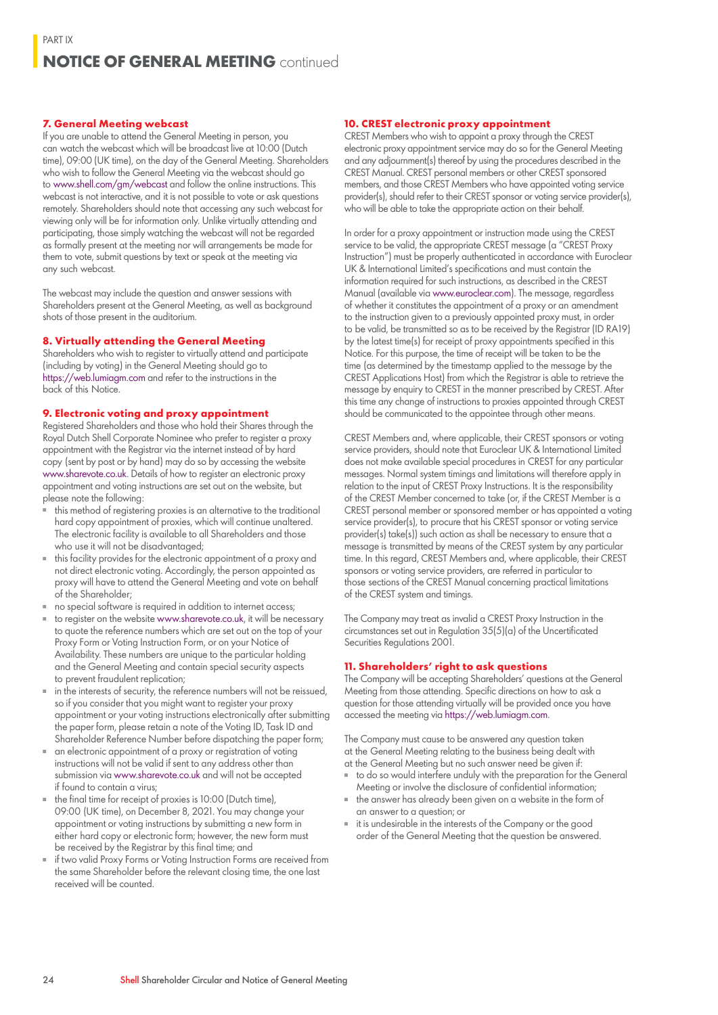#### **7. General Meeting webcast**

If you are unable to attend the General Meeting in person, you can watch the webcast which will be broadcast live at 10:00 (Dutch time), 09:00 (UK time), on the day of the General Meeting. Shareholders who wish to follow the General Meeting via the webcast should go to www.shell.com/gm/webcast and follow the online instructions. This webcast is not interactive, and it is not possible to vote or ask questions remotely. Shareholders should note that accessing any such webcast for viewing only will be for information only. Unlike virtually attending and participating, those simply watching the webcast will not be regarded as formally present at the meeting nor will arrangements be made for them to vote, submit questions by text or speak at the meeting via any such webcast.

The webcast may include the question and answer sessions with Shareholders present at the General Meeting, as well as background shots of those present in the auditorium.

#### **8. Virtually attending the General Meeting**

Shareholders who wish to register to virtually attend and participate (including by voting) in the General Meeting should go to https://web.lumiagm.com and refer to the instructions in the back of this Notice.

#### **9. Electronic voting and proxy appointment**

Registered Shareholders and those who hold their Shares through the Royal Dutch Shell Corporate Nominee who prefer to register a proxy appointment with the Registrar via the internet instead of by hard copy (sent by post or by hand) may do so by accessing the website www.sharevote.co.uk. Details of how to register an electronic proxy appointment and voting instructions are set out on the website, but please note the following:

- this method of registering proxies is an alternative to the traditional hard copy appointment of proxies, which will continue unaltered. The electronic facility is available to all Shareholders and those who use it will not be disadvantaged;
- this facility provides for the electronic appointment of a proxy and not direct electronic voting. Accordingly, the person appointed as proxy will have to attend the General Meeting and vote on behalf of the Shareholder;
- no special software is required in addition to internet access;
- to register on the website www.sharevote.co.uk, it will be necessary to quote the reference numbers which are set out on the top of your Proxy Form or Voting Instruction Form, or on your Notice of Availability. These numbers are unique to the particular holding and the General Meeting and contain special security aspects to prevent fraudulent replication;
- in the interests of security, the reference numbers will not be reissued, so if you consider that you might want to register your proxy appointment or your voting instructions electronically after submitting the paper form, please retain a note of the Voting ID, Task ID and Shareholder Reference Number before dispatching the paper form;
- an electronic appointment of a proxy or registration of voting instructions will not be valid if sent to any address other than submission via www.sharevote.co.uk and will not be accepted if found to contain a virus;
- the final time for receipt of proxies is 10:00 (Dutch time), 09:00 (UK time), on December 8, 2021. You may change your appointment or voting instructions by submitting a new form in either hard copy or electronic form; however, the new form must be received by the Registrar by this final time; and
- if two valid Proxy Forms or Voting Instruction Forms are received from the same Shareholder before the relevant closing time, the one last received will be counted.

#### **10. CREST electronic proxy appointment**

CREST Members who wish to appoint a proxy through the CREST electronic proxy appointment service may do so for the General Meeting and any adjournment(s) thereof by using the procedures described in the CREST Manual. CREST personal members or other CREST sponsored members, and those CREST Members who have appointed voting service provider(s), should refer to their CREST sponsor or voting service provider(s), who will be able to take the appropriate action on their behalf.

In order for a proxy appointment or instruction made using the CREST service to be valid, the appropriate CREST message (a "CREST Proxy Instruction") must be properly authenticated in accordance with Euroclear UK & International Limited's specifications and must contain the information required for such instructions, as described in the CREST Manual (available via www.euroclear.com). The message, regardless of whether it constitutes the appointment of a proxy or an amendment to the instruction given to a previously appointed proxy must, in order to be valid, be transmitted so as to be received by the Registrar (ID RA19) by the latest time(s) for receipt of proxy appointments specified in this Notice. For this purpose, the time of receipt will be taken to be the time (as determined by the timestamp applied to the message by the CREST Applications Host) from which the Registrar is able to retrieve the message by enquiry to CREST in the manner prescribed by CREST. After this time any change of instructions to proxies appointed through CREST should be communicated to the appointee through other means.

CREST Members and, where applicable, their CREST sponsors or voting service providers, should note that Euroclear UK & International Limited does not make available special procedures in CREST for any particular messages. Normal system timings and limitations will therefore apply in relation to the input of CREST Proxy Instructions. It is the responsibility of the CREST Member concerned to take (or, if the CREST Member is a CREST personal member or sponsored member or has appointed a voting service provider(s), to procure that his CREST sponsor or voting service provider(s) take(s)) such action as shall be necessary to ensure that a message is transmitted by means of the CREST system by any particular time. In this regard, CREST Members and, where applicable, their CREST sponsors or voting service providers, are referred in particular to those sections of the CREST Manual concerning practical limitations of the CREST system and timings.

The Company may treat as invalid a CREST Proxy Instruction in the circumstances set out in Regulation 35(5)(a) of the Uncertificated Securities Regulations 2001.

#### **11. Shareholders' right to ask questions**

The Company will be accepting Shareholders' questions at the General Meeting from those attending. Specific directions on how to ask a question for those attending virtually will be provided once you have accessed the meeting via https://web.lumiagm.com.

The Company must cause to be answered any question taken at the General Meeting relating to the business being dealt with at the General Meeting but no such answer need be given if:

- to do so would interfere unduly with the preparation for the General Meeting or involve the disclosure of confidential information;
- the answer has already been given on a website in the form of an answer to a question; or
- it is undesirable in the interests of the Company or the good order of the General Meeting that the question be answered.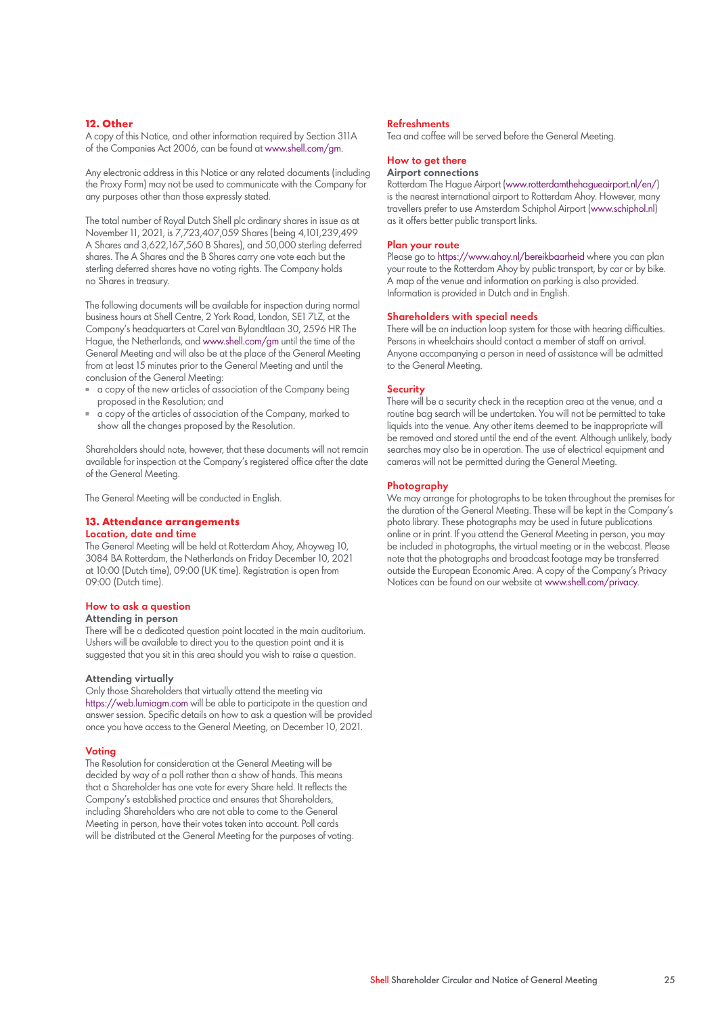#### **12. Other**

A copy of this Notice, and other information required by Section 311A of the Companies Act 2006, can be found at www.shell.com/gm.

Any electronic address in this Notice or any related documents (including the Proxy Form) may not be used to communicate with the Company for any purposes other than those expressly stated.

The total number of Royal Dutch Shell plc ordinary shares in issue as at November 11, 2021, is 7,723,407,059 Shares (being 4,101,239,499 A Shares and 3,622,167,560 B Shares), and 50,000 sterling deferred shares. The A Shares and the B Shares carry one vote each but the sterling deferred shares have no voting rights. The Company holds no Shares in treasury.

The following documents will be available for inspection during normal business hours at Shell Centre, 2 York Road, London, SE1 7LZ, at the Company's headquarters at Carel van Bylandtlaan 30, 2596 HR The Hague, the Netherlands, and www.shell.com/gm until the time of the General Meeting and will also be at the place of the General Meeting from at least 15 minutes prior to the General Meeting and until the conclusion of the General Meeting:

- a copy of the new articles of association of the Company being proposed in the Resolution; and
- a copy of the articles of association of the Company, marked to show all the changes proposed by the Resolution.

Shareholders should note, however, that these documents will not remain available for inspection at the Company's registered office after the date of the General Meeting.

The General Meeting will be conducted in English.

#### **13. Attendance arrangements** Location, date and time

The General Meeting will be held at Rotterdam Ahoy, Ahoyweg 10, 3084 BA Rotterdam, the Netherlands on Friday December 10, 2021 at 10:00 (Dutch time), 09:00 (UK time). Registration is open from 09:00 (Dutch time).

#### How to ask a question

#### Attending in person

There will be a dedicated question point located in the main auditorium. Ushers will be available to direct you to the question point and it is suggested that you sit in this area should you wish to raise a question.

#### Attending virtually

Only those Shareholders that virtually attend the meeting via https://web.lumiagm.com will be able to participate in the question and answer session. Specific details on how to ask a question will be provided once you have access to the General Meeting, on December 10, 2021.

#### Voting

The Resolution for consideration at the General Meeting will be decided by way of a poll rather than a show of hands. This means that a Shareholder has one vote for every Share held. It reflects the Company's established practice and ensures that Shareholders, including Shareholders who are not able to come to the General Meeting in person, have their votes taken into account. Poll cards will be distributed at the General Meeting for the purposes of voting.

#### Refreshments

Tea and coffee will be served before the General Meeting.

#### How to get there

#### Airport connections

Rotterdam The Hague Airport (www.rotterdamthehagueairport.nl/en/) is the nearest international airport to Rotterdam Ahoy. However, many travellers prefer to use Amsterdam Schiphol Airport (www.schiphol.nl) as it offers better public transport links.

#### Plan your route

Please go to https://www.ahoy.nl/bereikbaarheid where you can plan your route to the Rotterdam Ahoy by public transport, by car or by bike. A map of the venue and information on parking is also provided. Information is provided in Dutch and in English.

#### Shareholders with special needs

There will be an induction loop system for those with hearing difficulties. Persons in wheelchairs should contact a member of staff on arrival. Anyone accompanying a person in need of assistance will be admitted to the General Meeting.

#### **Security**

There will be a security check in the reception area at the venue, and a routine bag search will be undertaken. You will not be permitted to take liquids into the venue. Any other items deemed to be inappropriate will be removed and stored until the end of the event. Although unlikely, body searches may also be in operation. The use of electrical equipment and cameras will not be permitted during the General Meeting.

#### **Photography**

We may arrange for photographs to be taken throughout the premises for the duration of the General Meeting. These will be kept in the Company's photo library. These photographs may be used in future publications online or in print. If you attend the General Meeting in person, you may be included in photographs, the virtual meeting or in the webcast. Please note that the photographs and broadcast footage may be transferred outside the European Economic Area. A copy of the Company's Privacy Notices can be found on our website at www.shell.com/privacy.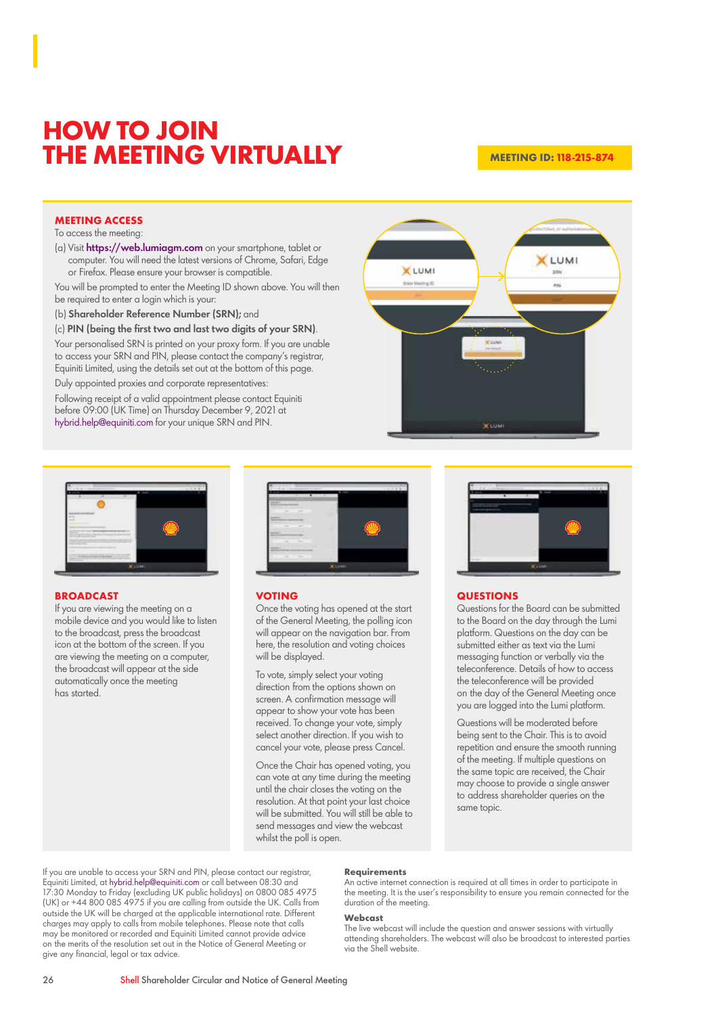## **HOW TO JOIN THE MEETING VIRTUALLY**

#### **MEETING ID: 118-215-874**

#### **MEETING ACCESS**

To access the meeting:

(a) Visit https://web.lumiagm.com on your smartphone, tablet or computer. You will need the latest versions of Chrome, Safari, Edge or Firefox. Please ensure your browser is compatible.

You will be prompted to enter the Meeting ID shown above. You will then be required to enter a login which is your:

(b) Shareholder Reference Number (SRN); and

(c) PIN (being the first two and last two digits of your SRN).

Your personalised SRN is printed on your proxy form. If you are unable to access your SRN and PIN, please contact the company's registrar, Equiniti Limited, using the details set out at the bottom of this page.

Duly appointed proxies and corporate representatives:

Following receipt of a valid appointment please contact Equiniti before 09:00 (UK Time) on Thursday December 9, 2021 at hybrid.help@equiniti.com for your unique SRN and PIN.





#### **BROADCAST**

If you are viewing the meeting on a mobile device and you would like to listen to the broadcast, press the broadcast icon at the bottom of the screen. If you are viewing the meeting on a computer, the broadcast will appear at the side automatically once the meeting has started.



#### **VOTING**

Once the voting has opened at the start of the General Meeting, the polling icon will appear on the navigation bar. From here, the resolution and voting choices will be displayed.

To vote, simply select your voting direction from the options shown on screen. A confirmation message will appear to show your vote has been received. To change your vote, simply select another direction. If you wish to cancel your vote, please press Cancel.

Once the Chair has opened voting, you can vote at any time during the meeting until the chair closes the voting on the resolution. At that point your last choice will be submitted. You will still be able to send messages and view the webcast whilst the poll is open.



#### **QUESTIONS**

Questions for the Board can be submitted to the Board on the day through the Lumi platform. Questions on the day can be submitted either as text via the Lumi messaging function or verbally via the teleconference. Details of how to access the teleconference will be provided on the day of the General Meeting once you are logged into the Lumi platform.

Questions will be moderated before being sent to the Chair. This is to avoid repetition and ensure the smooth running of the meeting. If multiple questions on the same topic are received, the Chair may choose to provide a single answer to address shareholder queries on the same topic.

If you are unable to access your SRN and PIN, please contact our registrar, Equiniti Limited, at hybrid.help@equiniti.com or call between 08:30 and 17:30 Monday to Friday (excluding UK public holidays) on 0800 085 4975 (UK) or +44 800 085 4975 if you are calling from outside the UK. Calls from outside the UK will be charged at the applicable international rate. Different charges may apply to calls from mobile telephones. Please note that calls may be monitored or recorded and Equiniti Limited cannot provide advice on the merits of the resolution set out in the Notice of General Meeting or give any financial, legal or tax advice.

#### **Requirements**

An active internet connection is required at all times in order to participate in the meeting. It is the user's responsibility to ensure you remain connected for the duration of the meeting.

#### **Webcast**

The live webcast will include the question and answer sessions with virtually attending shareholders. The webcast will also be broadcast to interested parties via the Shell website.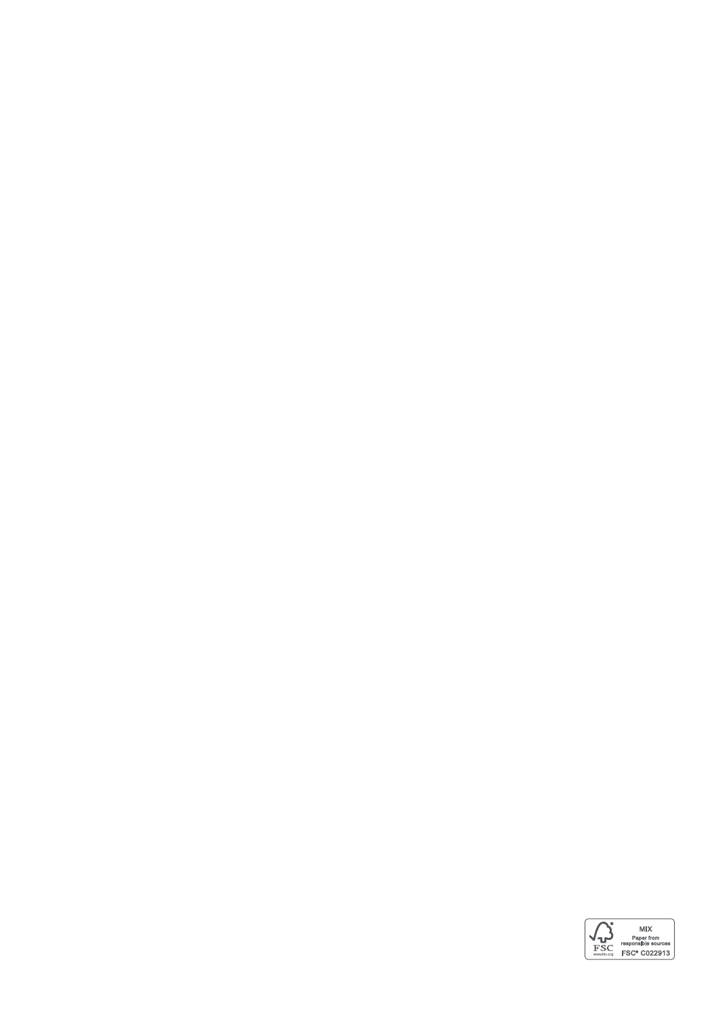